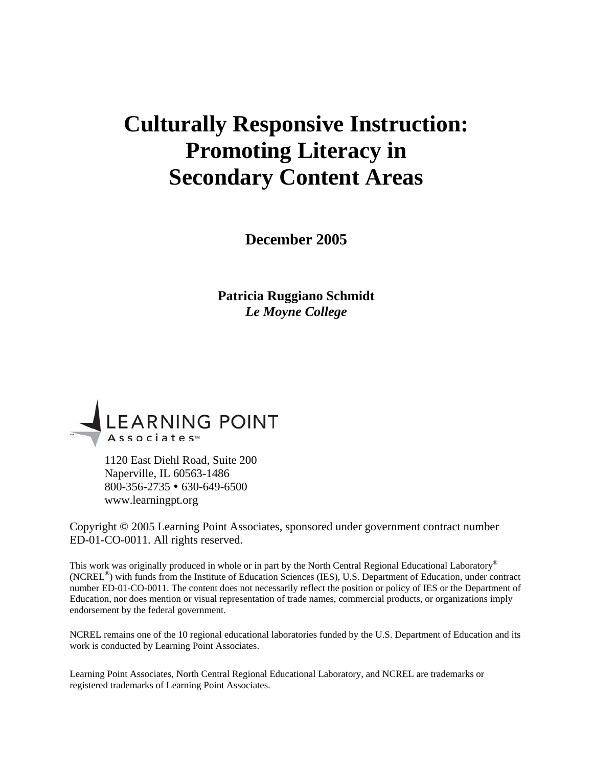# **Culturally Responsive Instruction: Promoting Literacy in Secondary Content Areas**

**December 2005** 

**Patricia Ruggiano Schmidt**  *Le Moyne College* 



1120 East Diehl Road, Suite 200 Naperville, IL 60563-1486  $800-356-2735 \cdot 630-649-6500$ www.learningpt.org

Copyright © 2005 Learning Point Associates, sponsored under government contract number ED-01-CO-0011. All rights reserved.

This work was originally produced in whole or in part by the North Central Regional Educational Laboratory® (NCREL®) with funds from the Institute of Education Sciences (IES), U.S. Department of Education, under contract number ED-01-CO-0011. The content does not necessarily reflect the position or policy of IES or the Department of Education, nor does mention or visual representation of trade names, commercial products, or organizations imply endorsement by the federal government.

NCREL remains one of the 10 regional educational laboratories funded by the U.S. Department of Education and its work is conducted by Learning Point Associates.

Learning Point Associates, North Central Regional Educational Laboratory, and NCREL are trademarks or registered trademarks of Learning Point Associates.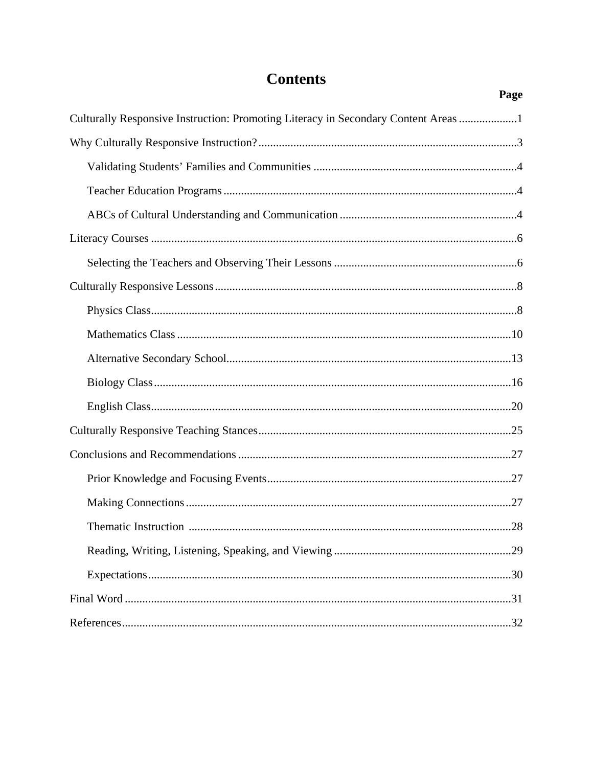# **Contents**

Page

| Culturally Responsive Instruction: Promoting Literacy in Secondary Content Areas 1 |
|------------------------------------------------------------------------------------|
|                                                                                    |
|                                                                                    |
|                                                                                    |
|                                                                                    |
|                                                                                    |
|                                                                                    |
|                                                                                    |
|                                                                                    |
|                                                                                    |
|                                                                                    |
|                                                                                    |
|                                                                                    |
|                                                                                    |
|                                                                                    |
|                                                                                    |
|                                                                                    |
|                                                                                    |
|                                                                                    |
|                                                                                    |
|                                                                                    |
|                                                                                    |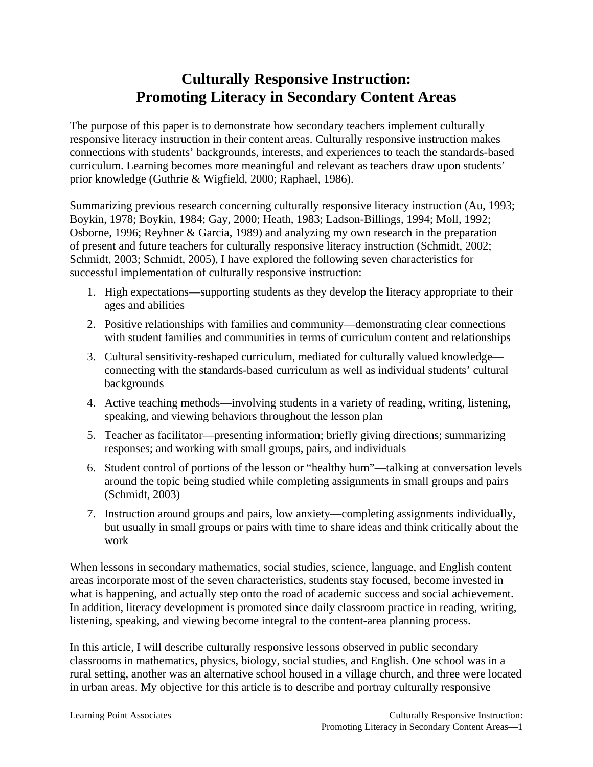# **Culturally Responsive Instruction: Promoting Literacy in Secondary Content Areas**

The purpose of this paper is to demonstrate how secondary teachers implement culturally responsive literacy instruction in their content areas. Culturally responsive instruction makes connections with students' backgrounds, interests, and experiences to teach the standards-based curriculum. Learning becomes more meaningful and relevant as teachers draw upon students' prior knowledge (Guthrie & Wigfield, 2000; Raphael, 1986).

Summarizing previous research concerning culturally responsive literacy instruction (Au, 1993; Boykin, 1978; Boykin, 1984; Gay, 2000; Heath, 1983; Ladson-Billings, 1994; Moll, 1992; Osborne, 1996; Reyhner & Garcia, 1989) and analyzing my own research in the preparation of present and future teachers for culturally responsive literacy instruction (Schmidt, 2002; Schmidt, 2003; Schmidt, 2005), I have explored the following seven characteristics for successful implementation of culturally responsive instruction:

- 1. High expectations—supporting students as they develop the literacy appropriate to their ages and abilities
- 2. Positive relationships with families and community—demonstrating clear connections with student families and communities in terms of curriculum content and relationships
- 3. Cultural sensitivity-reshaped curriculum, mediated for culturally valued knowledge connecting with the standards-based curriculum as well as individual students' cultural backgrounds
- 4. Active teaching methods—involving students in a variety of reading, writing, listening, speaking, and viewing behaviors throughout the lesson plan
- 5. Teacher as facilitator—presenting information; briefly giving directions; summarizing responses; and working with small groups, pairs, and individuals
- 6. Student control of portions of the lesson or "healthy hum"—talking at conversation levels around the topic being studied while completing assignments in small groups and pairs (Schmidt, 2003)
- 7. Instruction around groups and pairs, low anxiety—completing assignments individually, but usually in small groups or pairs with time to share ideas and think critically about the work

When lessons in secondary mathematics, social studies, science, language, and English content areas incorporate most of the seven characteristics, students stay focused, become invested in what is happening, and actually step onto the road of academic success and social achievement. In addition, literacy development is promoted since daily classroom practice in reading, writing, listening, speaking, and viewing become integral to the content-area planning process.

In this article, I will describe culturally responsive lessons observed in public secondary classrooms in mathematics, physics, biology, social studies, and English. One school was in a rural setting, another was an alternative school housed in a village church, and three were located in urban areas. My objective for this article is to describe and portray culturally responsive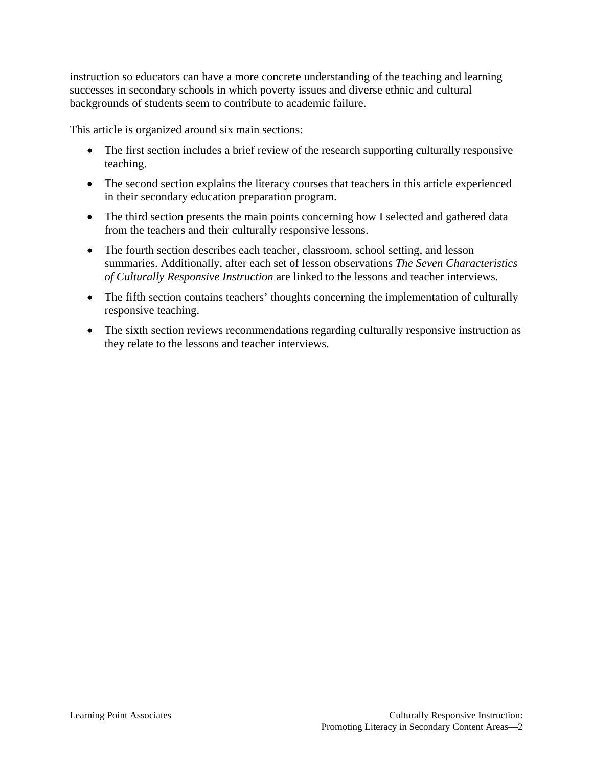instruction so educators can have a more concrete understanding of the teaching and learning successes in secondary schools in which poverty issues and diverse ethnic and cultural backgrounds of students seem to contribute to academic failure.

This article is organized around six main sections:

- The first section includes a brief review of the research supporting culturally responsive teaching.
- The second section explains the literacy courses that teachers in this article experienced in their secondary education preparation program.
- The third section presents the main points concerning how I selected and gathered data from the teachers and their culturally responsive lessons.
- The fourth section describes each teacher, classroom, school setting, and lesson summaries. Additionally, after each set of lesson observations *The Seven Characteristics of Culturally Responsive Instruction* are linked to the lessons and teacher interviews.
- The fifth section contains teachers' thoughts concerning the implementation of culturally responsive teaching.
- The sixth section reviews recommendations regarding culturally responsive instruction as they relate to the lessons and teacher interviews.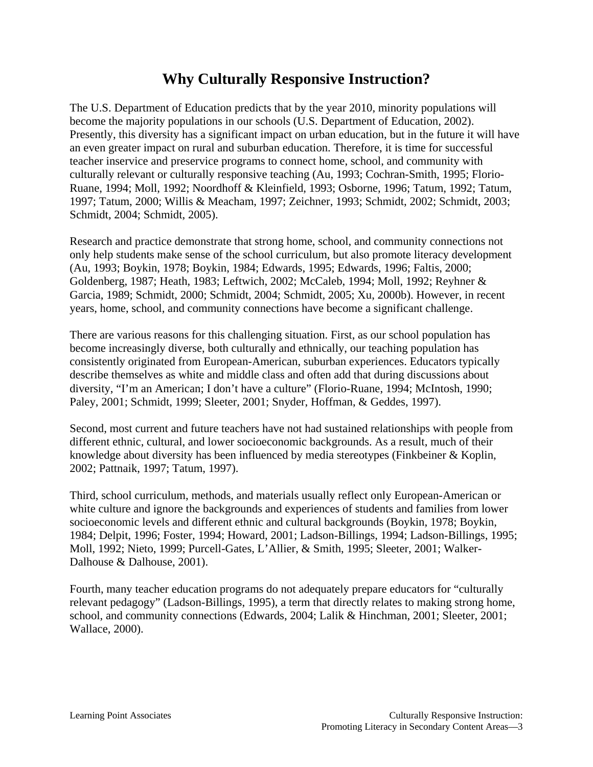# **Why Culturally Responsive Instruction?**

The U.S. Department of Education predicts that by the year 2010, minority populations will become the majority populations in our schools (U.S. Department of Education, 2002). Presently, this diversity has a significant impact on urban education, but in the future it will have an even greater impact on rural and suburban education. Therefore, it is time for successful teacher inservice and preservice programs to connect home, school, and community with culturally relevant or culturally responsive teaching (Au, 1993; Cochran-Smith, 1995; Florio-Ruane, 1994; Moll, 1992; Noordhoff & Kleinfield, 1993; Osborne, 1996; Tatum, 1992; Tatum, 1997; Tatum, 2000; Willis & Meacham, 1997; Zeichner, 1993; Schmidt, 2002; Schmidt, 2003; Schmidt, 2004; Schmidt, 2005).

Research and practice demonstrate that strong home, school, and community connections not only help students make sense of the school curriculum, but also promote literacy development (Au, 1993; Boykin, 1978; Boykin, 1984; Edwards, 1995; Edwards, 1996; Faltis, 2000; Goldenberg, 1987; Heath, 1983; Leftwich, 2002; McCaleb, 1994; Moll, 1992; Reyhner & Garcia, 1989; Schmidt, 2000; Schmidt, 2004; Schmidt, 2005; Xu, 2000b). However, in recent years, home, school, and community connections have become a significant challenge.

There are various reasons for this challenging situation. First, as our school population has become increasingly diverse, both culturally and ethnically, our teaching population has consistently originated from European-American, suburban experiences. Educators typically describe themselves as white and middle class and often add that during discussions about diversity, "I'm an American; I don't have a culture" (Florio-Ruane, 1994; McIntosh, 1990; Paley, 2001; Schmidt, 1999; Sleeter, 2001; Snyder, Hoffman, & Geddes, 1997).

Second, most current and future teachers have not had sustained relationships with people from different ethnic, cultural, and lower socioeconomic backgrounds. As a result, much of their knowledge about diversity has been influenced by media stereotypes (Finkbeiner & Koplin, 2002; Pattnaik, 1997; Tatum, 1997).

Third, school curriculum, methods, and materials usually reflect only European-American or white culture and ignore the backgrounds and experiences of students and families from lower socioeconomic levels and different ethnic and cultural backgrounds (Boykin, 1978; Boykin, 1984; Delpit, 1996; Foster, 1994; Howard, 2001; Ladson-Billings, 1994; Ladson-Billings, 1995; Moll, 1992; Nieto, 1999; Purcell-Gates, L'Allier, & Smith, 1995; Sleeter, 2001; Walker-Dalhouse & Dalhouse, 2001).

Fourth, many teacher education programs do not adequately prepare educators for "culturally relevant pedagogy" (Ladson-Billings, 1995), a term that directly relates to making strong home, school, and community connections (Edwards, 2004; Lalik & Hinchman, 2001; Sleeter, 2001; Wallace, 2000).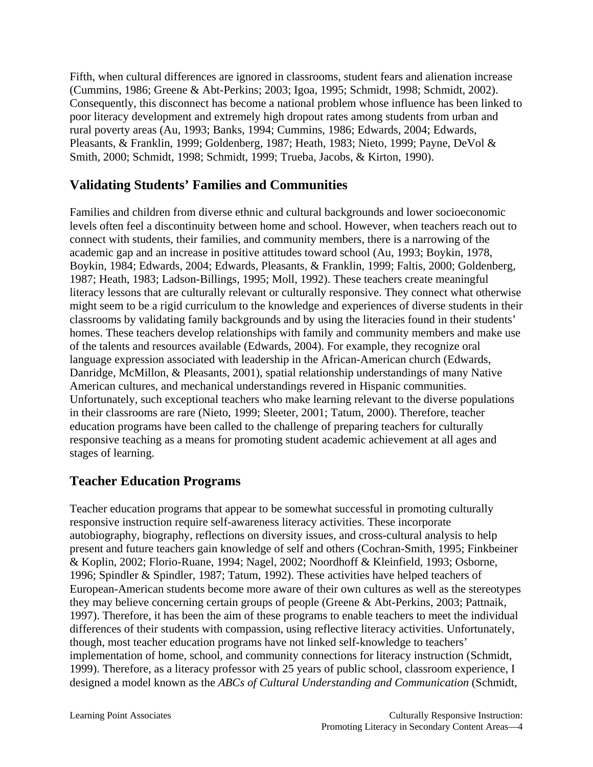Fifth, when cultural differences are ignored in classrooms, student fears and alienation increase (Cummins, 1986; Greene & Abt-Perkins; 2003; Igoa, 1995; Schmidt, 1998; Schmidt, 2002). Consequently, this disconnect has become a national problem whose influence has been linked to poor literacy development and extremely high dropout rates among students from urban and rural poverty areas (Au, 1993; Banks, 1994; Cummins, 1986; Edwards, 2004; Edwards, Pleasants, & Franklin, 1999; Goldenberg, 1987; Heath, 1983; Nieto, 1999; Payne, DeVol & Smith, 2000; Schmidt, 1998; Schmidt, 1999; Trueba, Jacobs, & Kirton, 1990).

### **Validating Students' Families and Communities**

Families and children from diverse ethnic and cultural backgrounds and lower socioeconomic levels often feel a discontinuity between home and school. However, when teachers reach out to connect with students, their families, and community members, there is a narrowing of the academic gap and an increase in positive attitudes toward school (Au, 1993; Boykin, 1978, Boykin, 1984; Edwards, 2004; Edwards, Pleasants, & Franklin, 1999; Faltis, 2000; Goldenberg, 1987; Heath, 1983; Ladson-Billings, 1995; Moll, 1992). These teachers create meaningful literacy lessons that are culturally relevant or culturally responsive. They connect what otherwise might seem to be a rigid curriculum to the knowledge and experiences of diverse students in their classrooms by validating family backgrounds and by using the literacies found in their students' homes. These teachers develop relationships with family and community members and make use of the talents and resources available (Edwards, 2004). For example, they recognize oral language expression associated with leadership in the African-American church (Edwards, Danridge, McMillon, & Pleasants, 2001), spatial relationship understandings of many Native American cultures, and mechanical understandings revered in Hispanic communities. Unfortunately, such exceptional teachers who make learning relevant to the diverse populations in their classrooms are rare (Nieto, 1999; Sleeter, 2001; Tatum, 2000). Therefore, teacher education programs have been called to the challenge of preparing teachers for culturally responsive teaching as a means for promoting student academic achievement at all ages and stages of learning.

### **Teacher Education Programs**

Teacher education programs that appear to be somewhat successful in promoting culturally responsive instruction require self-awareness literacy activities. These incorporate autobiography, biography, reflections on diversity issues, and cross-cultural analysis to help present and future teachers gain knowledge of self and others (Cochran-Smith, 1995; Finkbeiner & Koplin, 2002; Florio-Ruane, 1994; Nagel, 2002; Noordhoff & Kleinfield, 1993; Osborne, 1996; Spindler & Spindler, 1987; Tatum, 1992). These activities have helped teachers of European-American students become more aware of their own cultures as well as the stereotypes they may believe concerning certain groups of people (Greene & Abt-Perkins, 2003; Pattnaik, 1997). Therefore, it has been the aim of these programs to enable teachers to meet the individual differences of their students with compassion, using reflective literacy activities. Unfortunately, though, most teacher education programs have not linked self-knowledge to teachers' implementation of home, school, and community connections for literacy instruction (Schmidt, 1999). Therefore, as a literacy professor with 25 years of public school, classroom experience, I designed a model known as the *ABCs of Cultural Understanding and Communication* (Schmidt,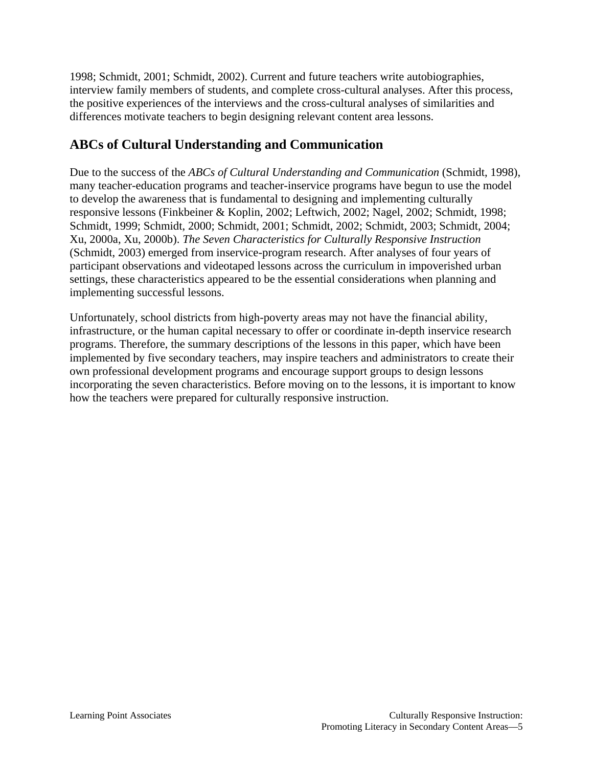1998; Schmidt, 2001; Schmidt, 2002). Current and future teachers write autobiographies, interview family members of students, and complete cross-cultural analyses. After this process, the positive experiences of the interviews and the cross-cultural analyses of similarities and differences motivate teachers to begin designing relevant content area lessons.

# **ABCs of Cultural Understanding and Communication**

Due to the success of the *ABCs of Cultural Understanding and Communication* (Schmidt, 1998), many teacher-education programs and teacher-inservice programs have begun to use the model to develop the awareness that is fundamental to designing and implementing culturally responsive lessons (Finkbeiner & Koplin, 2002; Leftwich, 2002; Nagel, 2002; Schmidt, 1998; Schmidt, 1999; Schmidt, 2000; Schmidt, 2001; Schmidt, 2002; Schmidt, 2003; Schmidt, 2004; Xu, 2000a, Xu, 2000b). *The Seven Characteristics for Culturally Responsive Instruction* (Schmidt, 2003) emerged from inservice-program research. After analyses of four years of participant observations and videotaped lessons across the curriculum in impoverished urban settings, these characteristics appeared to be the essential considerations when planning and implementing successful lessons.

Unfortunately, school districts from high-poverty areas may not have the financial ability, infrastructure, or the human capital necessary to offer or coordinate in-depth inservice research programs. Therefore, the summary descriptions of the lessons in this paper, which have been implemented by five secondary teachers, may inspire teachers and administrators to create their own professional development programs and encourage support groups to design lessons incorporating the seven characteristics. Before moving on to the lessons, it is important to know how the teachers were prepared for culturally responsive instruction.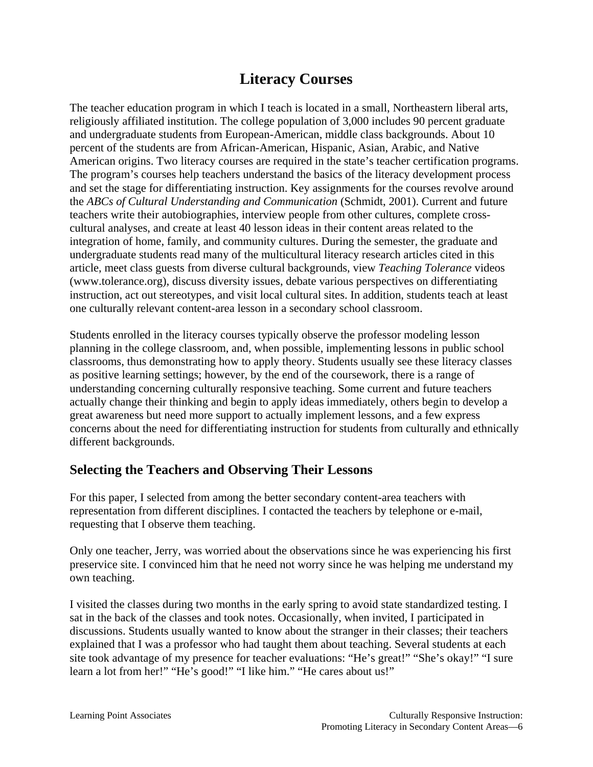# **Literacy Courses**

The teacher education program in which I teach is located in a small, Northeastern liberal arts, religiously affiliated institution. The college population of 3,000 includes 90 percent graduate and undergraduate students from European-American, middle class backgrounds. About 10 percent of the students are from African-American, Hispanic, Asian, Arabic, and Native American origins. Two literacy courses are required in the state's teacher certification programs. The program's courses help teachers understand the basics of the literacy development process and set the stage for differentiating instruction. Key assignments for the courses revolve around the *ABCs of Cultural Understanding and Communication* (Schmidt, 2001). Current and future teachers write their autobiographies, interview people from other cultures, complete crosscultural analyses, and create at least 40 lesson ideas in their content areas related to the integration of home, family, and community cultures. During the semester, the graduate and undergraduate students read many of the multicultural literacy research articles cited in this article, meet class guests from diverse cultural backgrounds, view *Teaching Tolerance* videos (www.tolerance.org), discuss diversity issues, debate various perspectives on differentiating instruction, act out stereotypes, and visit local cultural sites. In addition, students teach at least one culturally relevant content-area lesson in a secondary school classroom.

Students enrolled in the literacy courses typically observe the professor modeling lesson planning in the college classroom, and, when possible, implementing lessons in public school classrooms, thus demonstrating how to apply theory. Students usually see these literacy classes as positive learning settings; however, by the end of the coursework, there is a range of understanding concerning culturally responsive teaching. Some current and future teachers actually change their thinking and begin to apply ideas immediately, others begin to develop a great awareness but need more support to actually implement lessons, and a few express concerns about the need for differentiating instruction for students from culturally and ethnically different backgrounds.

### **Selecting the Teachers and Observing Their Lessons**

For this paper, I selected from among the better secondary content-area teachers with representation from different disciplines. I contacted the teachers by telephone or e-mail, requesting that I observe them teaching.

Only one teacher, Jerry, was worried about the observations since he was experiencing his first preservice site. I convinced him that he need not worry since he was helping me understand my own teaching.

I visited the classes during two months in the early spring to avoid state standardized testing. I sat in the back of the classes and took notes. Occasionally, when invited, I participated in discussions. Students usually wanted to know about the stranger in their classes; their teachers explained that I was a professor who had taught them about teaching. Several students at each site took advantage of my presence for teacher evaluations: "He's great!" "She's okay!" "I sure learn a lot from her!" "He's good!" "I like him." "He cares about us!"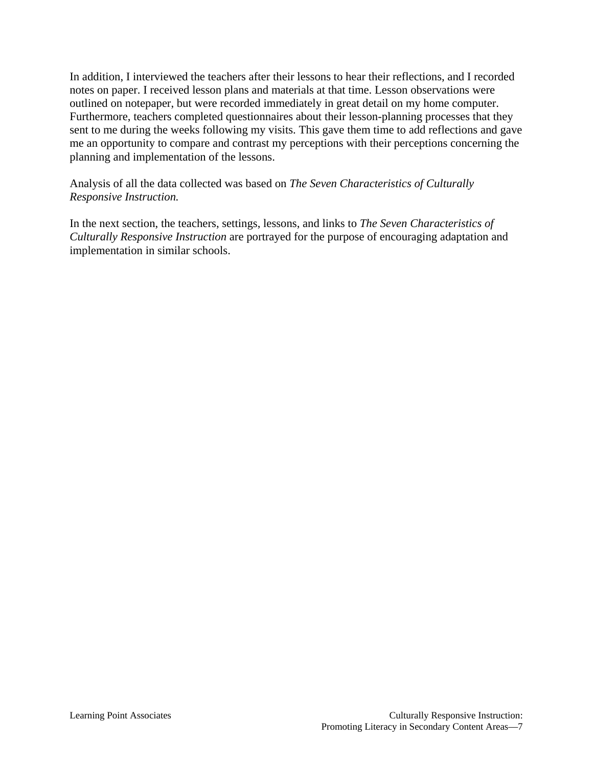In addition, I interviewed the teachers after their lessons to hear their reflections, and I recorded notes on paper. I received lesson plans and materials at that time. Lesson observations were outlined on notepaper, but were recorded immediately in great detail on my home computer. Furthermore, teachers completed questionnaires about their lesson-planning processes that they sent to me during the weeks following my visits. This gave them time to add reflections and gave me an opportunity to compare and contrast my perceptions with their perceptions concerning the planning and implementation of the lessons.

Analysis of all the data collected was based on *The Seven Characteristics of Culturally Responsive Instruction.*

In the next section, the teachers, settings, lessons, and links to *The Seven Characteristics of Culturally Responsive Instruction* are portrayed for the purpose of encouraging adaptation and implementation in similar schools.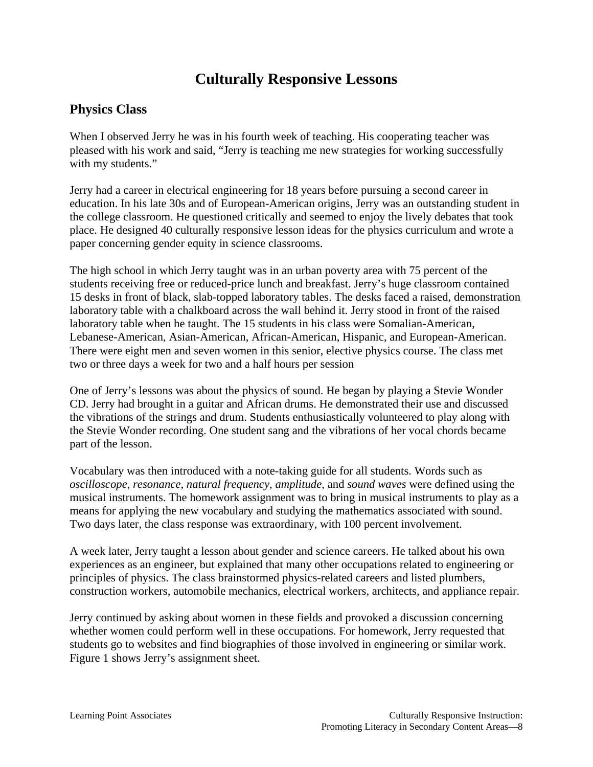# **Culturally Responsive Lessons**

### **Physics Class**

When I observed Jerry he was in his fourth week of teaching. His cooperating teacher was pleased with his work and said, "Jerry is teaching me new strategies for working successfully with my students."

Jerry had a career in electrical engineering for 18 years before pursuing a second career in education. In his late 30s and of European-American origins, Jerry was an outstanding student in the college classroom. He questioned critically and seemed to enjoy the lively debates that took place. He designed 40 culturally responsive lesson ideas for the physics curriculum and wrote a paper concerning gender equity in science classrooms.

The high school in which Jerry taught was in an urban poverty area with 75 percent of the students receiving free or reduced-price lunch and breakfast. Jerry's huge classroom contained 15 desks in front of black, slab-topped laboratory tables. The desks faced a raised, demonstration laboratory table with a chalkboard across the wall behind it. Jerry stood in front of the raised laboratory table when he taught. The 15 students in his class were Somalian-American, Lebanese-American, Asian-American, African-American, Hispanic, and European-American. There were eight men and seven women in this senior, elective physics course. The class met two or three days a week for two and a half hours per session

One of Jerry's lessons was about the physics of sound. He began by playing a Stevie Wonder CD. Jerry had brought in a guitar and African drums. He demonstrated their use and discussed the vibrations of the strings and drum. Students enthusiastically volunteered to play along with the Stevie Wonder recording. One student sang and the vibrations of her vocal chords became part of the lesson.

Vocabulary was then introduced with a note-taking guide for all students. Words such as *oscilloscope*, *resonance*, *natural frequency*, *amplitude*, and *sound waves* were defined using the musical instruments. The homework assignment was to bring in musical instruments to play as a means for applying the new vocabulary and studying the mathematics associated with sound. Two days later, the class response was extraordinary, with 100 percent involvement.

A week later, Jerry taught a lesson about gender and science careers. He talked about his own experiences as an engineer, but explained that many other occupations related to engineering or principles of physics. The class brainstormed physics-related careers and listed plumbers, construction workers, automobile mechanics, electrical workers, architects, and appliance repair.

Jerry continued by asking about women in these fields and provoked a discussion concerning whether women could perform well in these occupations. For homework, Jerry requested that students go to websites and find biographies of those involved in engineering or similar work. Figure 1 shows Jerry's assignment sheet.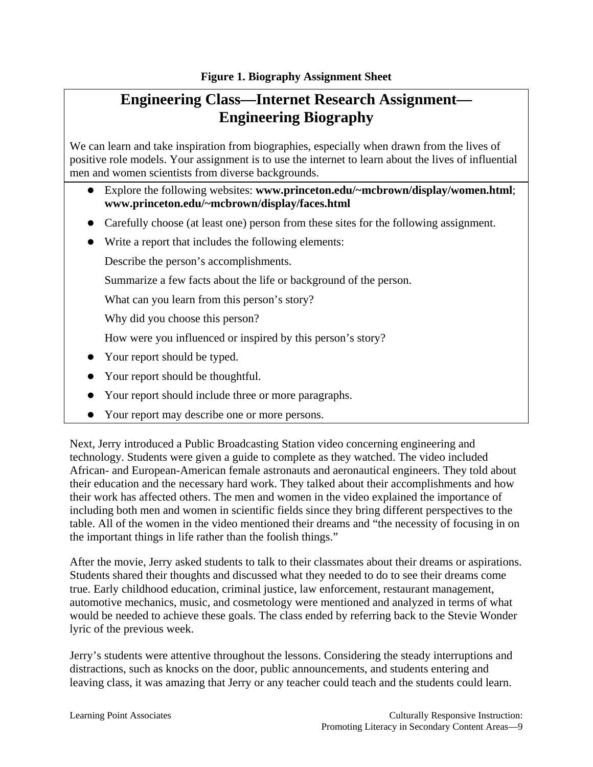# **Engineering Class—Internet Research Assignment— Engineering Biography**

We can learn and take inspiration from biographies, especially when drawn from the lives of positive role models. Your assignment is to use the internet to learn about the lives of influential men and women scientists from diverse backgrounds.

- Explore the following websites: **www.princeton.edu/~mcbrown/display/women.html**; **www.princeton.edu/~mcbrown/display/faces.html**
- Carefully choose (at least one) person from these sites for the following assignment.
- $\bullet$  Write a report that includes the following elements:

Describe the person's accomplishments.

Summarize a few facts about the life or background of the person.

What can you learn from this person's story?

Why did you choose this person?

How were you influenced or inspired by this person's story?

- Your report should be typed.
- Your report should be thoughtful.
- Your report should include three or more paragraphs.
- Your report may describe one or more persons.

Next, Jerry introduced a Public Broadcasting Station video concerning engineering and technology. Students were given a guide to complete as they watched. The video included African- and European-American female astronauts and aeronautical engineers. They told about their education and the necessary hard work. They talked about their accomplishments and how their work has affected others. The men and women in the video explained the importance of including both men and women in scientific fields since they bring different perspectives to the table. All of the women in the video mentioned their dreams and "the necessity of focusing in on the important things in life rather than the foolish things."

After the movie, Jerry asked students to talk to their classmates about their dreams or aspirations. Students shared their thoughts and discussed what they needed to do to see their dreams come true. Early childhood education, criminal justice, law enforcement, restaurant management, automotive mechanics, music, and cosmetology were mentioned and analyzed in terms of what would be needed to achieve these goals. The class ended by referring back to the Stevie Wonder lyric of the previous week.

Jerry's students were attentive throughout the lessons. Considering the steady interruptions and distractions, such as knocks on the door, public announcements, and students entering and leaving class, it was amazing that Jerry or any teacher could teach and the students could learn.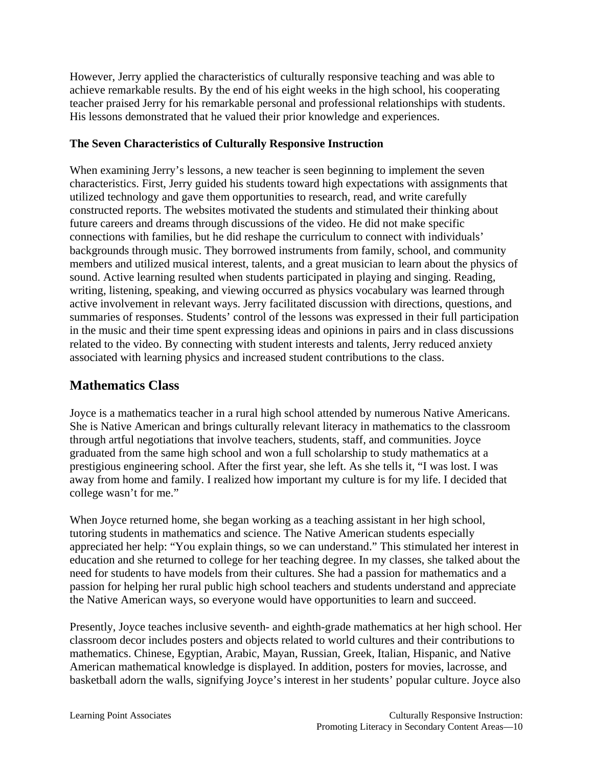However, Jerry applied the characteristics of culturally responsive teaching and was able to achieve remarkable results. By the end of his eight weeks in the high school, his cooperating teacher praised Jerry for his remarkable personal and professional relationships with students. His lessons demonstrated that he valued their prior knowledge and experiences.

#### **The Seven Characteristics of Culturally Responsive Instruction**

When examining Jerry's lessons, a new teacher is seen beginning to implement the seven characteristics. First, Jerry guided his students toward high expectations with assignments that utilized technology and gave them opportunities to research, read, and write carefully constructed reports. The websites motivated the students and stimulated their thinking about future careers and dreams through discussions of the video. He did not make specific connections with families, but he did reshape the curriculum to connect with individuals' backgrounds through music. They borrowed instruments from family, school, and community members and utilized musical interest, talents, and a great musician to learn about the physics of sound. Active learning resulted when students participated in playing and singing. Reading, writing, listening, speaking, and viewing occurred as physics vocabulary was learned through active involvement in relevant ways. Jerry facilitated discussion with directions, questions, and summaries of responses. Students' control of the lessons was expressed in their full participation in the music and their time spent expressing ideas and opinions in pairs and in class discussions related to the video. By connecting with student interests and talents, Jerry reduced anxiety associated with learning physics and increased student contributions to the class.

### **Mathematics Class**

Joyce is a mathematics teacher in a rural high school attended by numerous Native Americans. She is Native American and brings culturally relevant literacy in mathematics to the classroom through artful negotiations that involve teachers, students, staff, and communities. Joyce graduated from the same high school and won a full scholarship to study mathematics at a prestigious engineering school. After the first year, she left. As she tells it, "I was lost. I was away from home and family. I realized how important my culture is for my life. I decided that college wasn't for me."

When Joyce returned home, she began working as a teaching assistant in her high school, tutoring students in mathematics and science. The Native American students especially appreciated her help: "You explain things, so we can understand." This stimulated her interest in education and she returned to college for her teaching degree. In my classes, she talked about the need for students to have models from their cultures. She had a passion for mathematics and a passion for helping her rural public high school teachers and students understand and appreciate the Native American ways, so everyone would have opportunities to learn and succeed.

Presently, Joyce teaches inclusive seventh- and eighth-grade mathematics at her high school. Her classroom decor includes posters and objects related to world cultures and their contributions to mathematics. Chinese, Egyptian, Arabic, Mayan, Russian, Greek, Italian, Hispanic, and Native American mathematical knowledge is displayed. In addition, posters for movies, lacrosse, and basketball adorn the walls, signifying Joyce's interest in her students' popular culture. Joyce also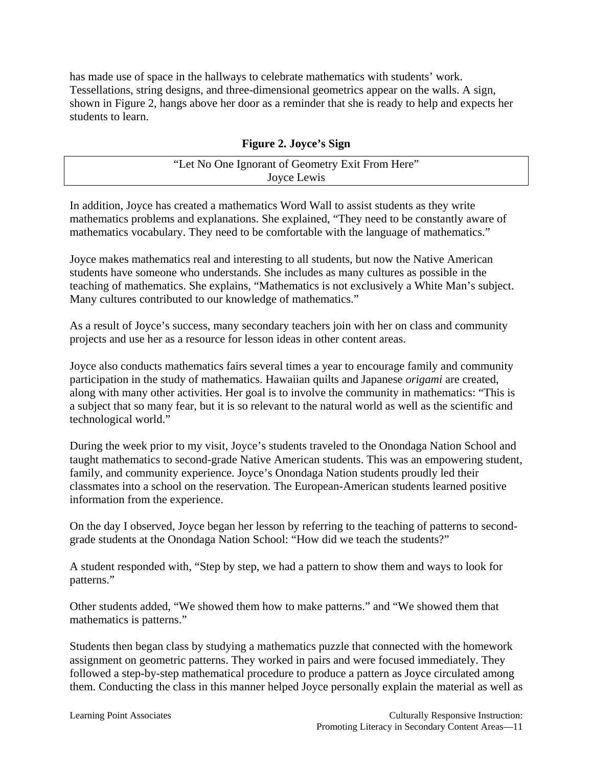has made use of space in the hallways to celebrate mathematics with students' work. Tessellations, string designs, and three-dimensional geometrics appear on the walls. A sign, shown in Figure 2, hangs above her door as a reminder that she is ready to help and expects her students to learn.

#### **Figure 2. Joyce's Sign**

| "Let No One Ignorant of Geometry Exit From Here" |  |
|--------------------------------------------------|--|
| Joyce Lewis                                      |  |

In addition, Joyce has created a mathematics Word Wall to assist students as they write mathematics problems and explanations. She explained, "They need to be constantly aware of mathematics vocabulary. They need to be comfortable with the language of mathematics."

Joyce makes mathematics real and interesting to all students, but now the Native American students have someone who understands. She includes as many cultures as possible in the teaching of mathematics. She explains, "Mathematics is not exclusively a White Man's subject. Many cultures contributed to our knowledge of mathematics."

As a result of Joyce's success, many secondary teachers join with her on class and community projects and use her as a resource for lesson ideas in other content areas.

Joyce also conducts mathematics fairs several times a year to encourage family and community participation in the study of mathematics. Hawaiian quilts and Japanese *origami* are created, along with many other activities. Her goal is to involve the community in mathematics: "This is a subject that so many fear, but it is so relevant to the natural world as well as the scientific and technological world."

During the week prior to my visit, Joyce's students traveled to the Onondaga Nation School and taught mathematics to second-grade Native American students. This was an empowering student, family, and community experience. Joyce's Onondaga Nation students proudly led their classmates into a school on the reservation. The European-American students learned positive information from the experience.

On the day I observed, Joyce began her lesson by referring to the teaching of patterns to secondgrade students at the Onondaga Nation School: "How did we teach the students?"

A student responded with, "Step by step, we had a pattern to show them and ways to look for patterns."

Other students added, "We showed them how to make patterns." and "We showed them that mathematics is patterns."

Students then began class by studying a mathematics puzzle that connected with the homework assignment on geometric patterns. They worked in pairs and were focused immediately. They followed a step-by-step mathematical procedure to produce a pattern as Joyce circulated among them. Conducting the class in this manner helped Joyce personally explain the material as well as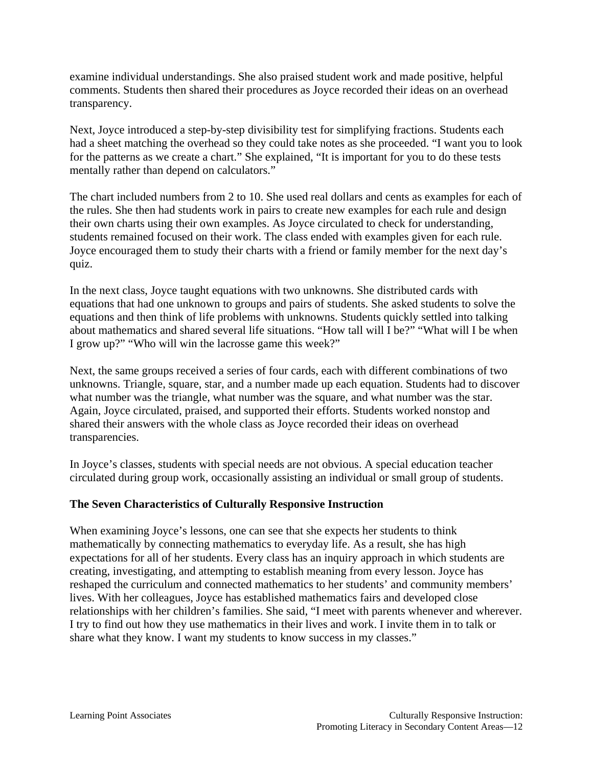examine individual understandings. She also praised student work and made positive, helpful comments. Students then shared their procedures as Joyce recorded their ideas on an overhead transparency.

Next, Joyce introduced a step-by-step divisibility test for simplifying fractions. Students each had a sheet matching the overhead so they could take notes as she proceeded. "I want you to look for the patterns as we create a chart." She explained, "It is important for you to do these tests mentally rather than depend on calculators."

The chart included numbers from 2 to 10. She used real dollars and cents as examples for each of the rules. She then had students work in pairs to create new examples for each rule and design their own charts using their own examples. As Joyce circulated to check for understanding, students remained focused on their work. The class ended with examples given for each rule. Joyce encouraged them to study their charts with a friend or family member for the next day's quiz.

In the next class, Joyce taught equations with two unknowns. She distributed cards with equations that had one unknown to groups and pairs of students. She asked students to solve the equations and then think of life problems with unknowns. Students quickly settled into talking about mathematics and shared several life situations. "How tall will I be?" "What will I be when I grow up?" "Who will win the lacrosse game this week?"

Next, the same groups received a series of four cards, each with different combinations of two unknowns. Triangle, square, star, and a number made up each equation. Students had to discover what number was the triangle, what number was the square, and what number was the star. Again, Joyce circulated, praised, and supported their efforts. Students worked nonstop and shared their answers with the whole class as Joyce recorded their ideas on overhead transparencies.

In Joyce's classes, students with special needs are not obvious. A special education teacher circulated during group work, occasionally assisting an individual or small group of students.

#### **The Seven Characteristics of Culturally Responsive Instruction**

When examining Joyce's lessons, one can see that she expects her students to think mathematically by connecting mathematics to everyday life. As a result, she has high expectations for all of her students. Every class has an inquiry approach in which students are creating, investigating, and attempting to establish meaning from every lesson. Joyce has reshaped the curriculum and connected mathematics to her students' and community members' lives. With her colleagues, Joyce has established mathematics fairs and developed close relationships with her children's families. She said, "I meet with parents whenever and wherever. I try to find out how they use mathematics in their lives and work. I invite them in to talk or share what they know. I want my students to know success in my classes."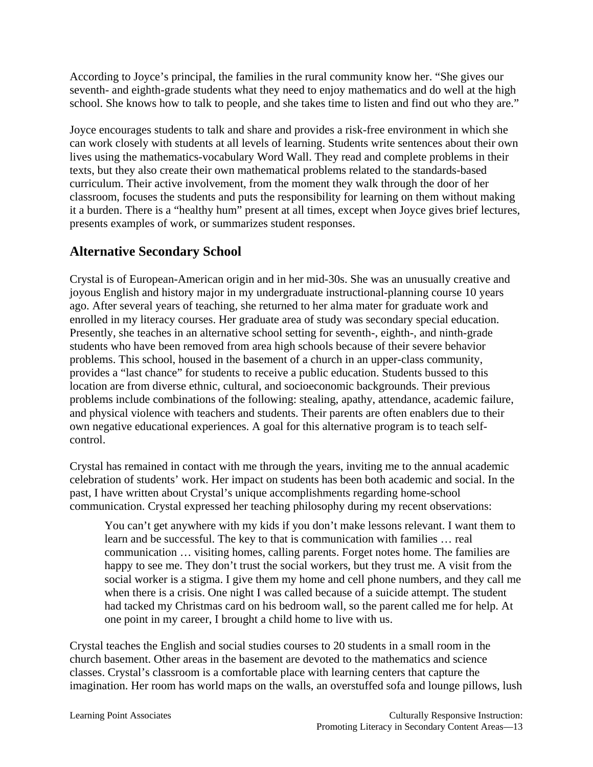According to Joyce's principal, the families in the rural community know her. "She gives our seventh- and eighth-grade students what they need to enjoy mathematics and do well at the high school. She knows how to talk to people, and she takes time to listen and find out who they are."

Joyce encourages students to talk and share and provides a risk-free environment in which she can work closely with students at all levels of learning. Students write sentences about their own lives using the mathematics-vocabulary Word Wall. They read and complete problems in their texts, but they also create their own mathematical problems related to the standards-based curriculum. Their active involvement, from the moment they walk through the door of her classroom, focuses the students and puts the responsibility for learning on them without making it a burden. There is a "healthy hum" present at all times, except when Joyce gives brief lectures, presents examples of work, or summarizes student responses.

# **Alternative Secondary School**

Crystal is of European-American origin and in her mid-30s. She was an unusually creative and joyous English and history major in my undergraduate instructional-planning course 10 years ago. After several years of teaching, she returned to her alma mater for graduate work and enrolled in my literacy courses. Her graduate area of study was secondary special education. Presently, she teaches in an alternative school setting for seventh-, eighth-, and ninth-grade students who have been removed from area high schools because of their severe behavior problems. This school, housed in the basement of a church in an upper-class community, provides a "last chance" for students to receive a public education. Students bussed to this location are from diverse ethnic, cultural, and socioeconomic backgrounds. Their previous problems include combinations of the following: stealing, apathy, attendance, academic failure, and physical violence with teachers and students. Their parents are often enablers due to their own negative educational experiences. A goal for this alternative program is to teach selfcontrol.

Crystal has remained in contact with me through the years, inviting me to the annual academic celebration of students' work. Her impact on students has been both academic and social. In the past, I have written about Crystal's unique accomplishments regarding home-school communication. Crystal expressed her teaching philosophy during my recent observations:

You can't get anywhere with my kids if you don't make lessons relevant. I want them to learn and be successful. The key to that is communication with families … real communication … visiting homes, calling parents. Forget notes home. The families are happy to see me. They don't trust the social workers, but they trust me. A visit from the social worker is a stigma. I give them my home and cell phone numbers, and they call me when there is a crisis. One night I was called because of a suicide attempt. The student had tacked my Christmas card on his bedroom wall, so the parent called me for help. At one point in my career, I brought a child home to live with us.

Crystal teaches the English and social studies courses to 20 students in a small room in the church basement. Other areas in the basement are devoted to the mathematics and science classes. Crystal's classroom is a comfortable place with learning centers that capture the imagination. Her room has world maps on the walls, an overstuffed sofa and lounge pillows, lush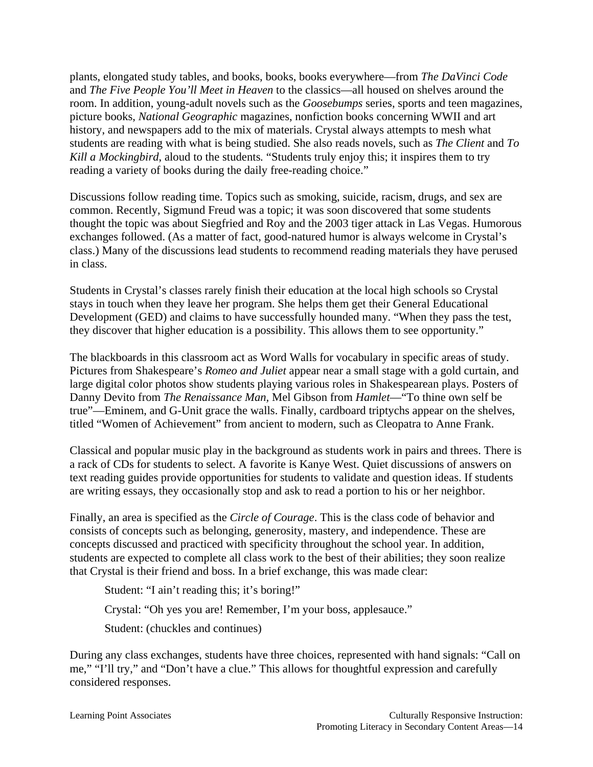plants, elongated study tables, and books, books, books everywhere—from *The DaVinci Code* and *The Five People You'll Meet in Heaven* to the classics—all housed on shelves around the room. In addition, young-adult novels such as the *Goosebumps* series, sports and teen magazines, picture books, *National Geographic* magazines, nonfiction books concerning WWII and art history, and newspapers add to the mix of materials. Crystal always attempts to mesh what students are reading with what is being studied. She also reads novels, such as *The Client* and *To Kill a Mockingbird*, aloud to the students*.* "Students truly enjoy this; it inspires them to try reading a variety of books during the daily free-reading choice."

Discussions follow reading time. Topics such as smoking, suicide, racism, drugs, and sex are common. Recently, Sigmund Freud was a topic; it was soon discovered that some students thought the topic was about Siegfried and Roy and the 2003 tiger attack in Las Vegas. Humorous exchanges followed. (As a matter of fact, good-natured humor is always welcome in Crystal's class.) Many of the discussions lead students to recommend reading materials they have perused in class.

Students in Crystal's classes rarely finish their education at the local high schools so Crystal stays in touch when they leave her program. She helps them get their General Educational Development (GED) and claims to have successfully hounded many. "When they pass the test, they discover that higher education is a possibility. This allows them to see opportunity."

The blackboards in this classroom act as Word Walls for vocabulary in specific areas of study. Pictures from Shakespeare's *Romeo and Juliet* appear near a small stage with a gold curtain, and large digital color photos show students playing various roles in Shakespearean plays. Posters of Danny Devito from *The Renaissance Man,* Mel Gibson from *Hamlet*—"To thine own self be true"—Eminem, and G-Unit grace the walls. Finally, cardboard triptychs appear on the shelves, titled "Women of Achievement" from ancient to modern, such as Cleopatra to Anne Frank.

Classical and popular music play in the background as students work in pairs and threes. There is a rack of CDs for students to select. A favorite is Kanye West. Quiet discussions of answers on text reading guides provide opportunities for students to validate and question ideas. If students are writing essays, they occasionally stop and ask to read a portion to his or her neighbor.

Finally, an area is specified as the *Circle of Courage*. This is the class code of behavior and consists of concepts such as belonging, generosity, mastery, and independence. These are concepts discussed and practiced with specificity throughout the school year. In addition, students are expected to complete all class work to the best of their abilities; they soon realize that Crystal is their friend and boss. In a brief exchange, this was made clear:

Student: "I ain't reading this; it's boring!"

Crystal: "Oh yes you are! Remember, I'm your boss, applesauce."

Student: (chuckles and continues)

During any class exchanges, students have three choices, represented with hand signals: "Call on me," "I'll try," and "Don't have a clue." This allows for thoughtful expression and carefully considered responses.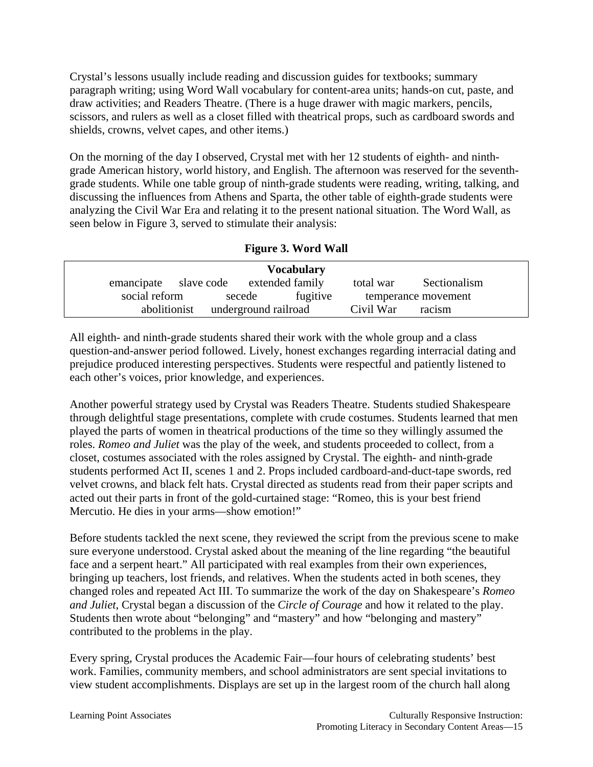Crystal's lessons usually include reading and discussion guides for textbooks; summary paragraph writing; using Word Wall vocabulary for content-area units; hands-on cut, paste, and draw activities; and Readers Theatre. (There is a huge drawer with magic markers, pencils, scissors, and rulers as well as a closet filled with theatrical props, such as cardboard swords and shields, crowns, velvet capes, and other items.)

On the morning of the day I observed, Crystal met with her 12 students of eighth- and ninthgrade American history, world history, and English. The afternoon was reserved for the seventhgrade students. While one table group of ninth-grade students were reading, writing, talking, and discussing the influences from Athens and Sparta, the other table of eighth-grade students were analyzing the Civil War Era and relating it to the present national situation. The Word Wall, as seen below in Figure 3, served to stimulate their analysis:

| <b>Figure 3. Word Wall</b> |  |
|----------------------------|--|
|                            |  |

| <b>Vocabulary</b> |            |                      |           |                     |
|-------------------|------------|----------------------|-----------|---------------------|
| emancipate        | slave code | extended family      | total war | Sectionalism        |
| social reform     | secede     | fugitive             |           | temperance movement |
| abolitionist      |            | underground railroad | Civil War | racism              |

All eighth- and ninth-grade students shared their work with the whole group and a class question-and-answer period followed. Lively, honest exchanges regarding interracial dating and prejudice produced interesting perspectives. Students were respectful and patiently listened to each other's voices, prior knowledge, and experiences.

Another powerful strategy used by Crystal was Readers Theatre. Students studied Shakespeare through delightful stage presentations, complete with crude costumes. Students learned that men played the parts of women in theatrical productions of the time so they willingly assumed the roles. *Romeo and Juliet* was the play of the week, and students proceeded to collect, from a closet, costumes associated with the roles assigned by Crystal. The eighth- and ninth-grade students performed Act II, scenes 1 and 2. Props included cardboard-and-duct-tape swords, red velvet crowns, and black felt hats. Crystal directed as students read from their paper scripts and acted out their parts in front of the gold-curtained stage: "Romeo, this is your best friend Mercutio. He dies in your arms—show emotion!"

Before students tackled the next scene, they reviewed the script from the previous scene to make sure everyone understood. Crystal asked about the meaning of the line regarding "the beautiful face and a serpent heart." All participated with real examples from their own experiences, bringing up teachers, lost friends, and relatives. When the students acted in both scenes, they changed roles and repeated Act III. To summarize the work of the day on Shakespeare's *Romeo and Juliet*, Crystal began a discussion of the *Circle of Courage* and how it related to the play. Students then wrote about "belonging" and "mastery" and how "belonging and mastery" contributed to the problems in the play.

Every spring, Crystal produces the Academic Fair—four hours of celebrating students' best work. Families, community members, and school administrators are sent special invitations to view student accomplishments. Displays are set up in the largest room of the church hall along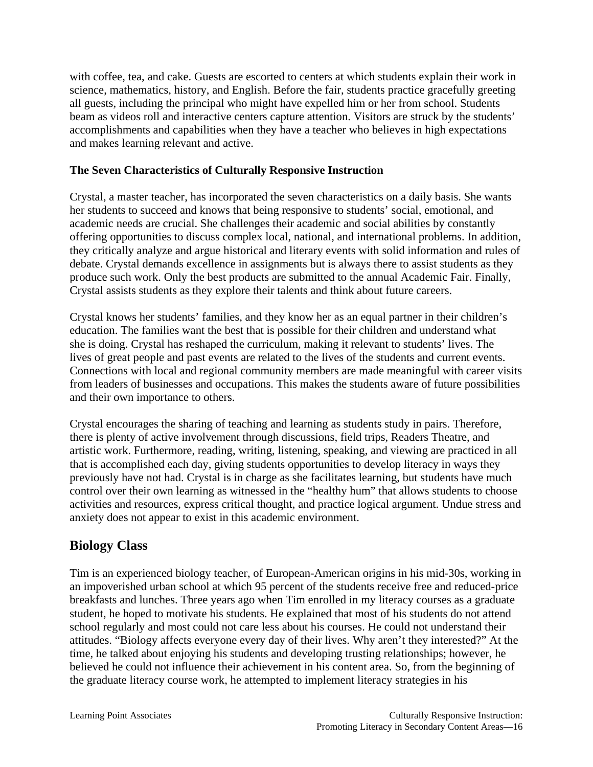with coffee, tea, and cake. Guests are escorted to centers at which students explain their work in science, mathematics, history, and English. Before the fair, students practice gracefully greeting all guests, including the principal who might have expelled him or her from school. Students beam as videos roll and interactive centers capture attention. Visitors are struck by the students' accomplishments and capabilities when they have a teacher who believes in high expectations and makes learning relevant and active.

#### **The Seven Characteristics of Culturally Responsive Instruction**

Crystal, a master teacher, has incorporated the seven characteristics on a daily basis. She wants her students to succeed and knows that being responsive to students' social, emotional, and academic needs are crucial. She challenges their academic and social abilities by constantly offering opportunities to discuss complex local, national, and international problems. In addition, they critically analyze and argue historical and literary events with solid information and rules of debate. Crystal demands excellence in assignments but is always there to assist students as they produce such work. Only the best products are submitted to the annual Academic Fair. Finally, Crystal assists students as they explore their talents and think about future careers.

Crystal knows her students' families, and they know her as an equal partner in their children's education. The families want the best that is possible for their children and understand what she is doing. Crystal has reshaped the curriculum, making it relevant to students' lives. The lives of great people and past events are related to the lives of the students and current events. Connections with local and regional community members are made meaningful with career visits from leaders of businesses and occupations. This makes the students aware of future possibilities and their own importance to others.

Crystal encourages the sharing of teaching and learning as students study in pairs. Therefore, there is plenty of active involvement through discussions, field trips, Readers Theatre, and artistic work. Furthermore, reading, writing, listening, speaking, and viewing are practiced in all that is accomplished each day, giving students opportunities to develop literacy in ways they previously have not had. Crystal is in charge as she facilitates learning, but students have much control over their own learning as witnessed in the "healthy hum" that allows students to choose activities and resources, express critical thought, and practice logical argument. Undue stress and anxiety does not appear to exist in this academic environment.

# **Biology Class**

Tim is an experienced biology teacher, of European-American origins in his mid-30s, working in an impoverished urban school at which 95 percent of the students receive free and reduced-price breakfasts and lunches. Three years ago when Tim enrolled in my literacy courses as a graduate student, he hoped to motivate his students. He explained that most of his students do not attend school regularly and most could not care less about his courses. He could not understand their attitudes. "Biology affects everyone every day of their lives. Why aren't they interested?" At the time, he talked about enjoying his students and developing trusting relationships; however, he believed he could not influence their achievement in his content area. So, from the beginning of the graduate literacy course work, he attempted to implement literacy strategies in his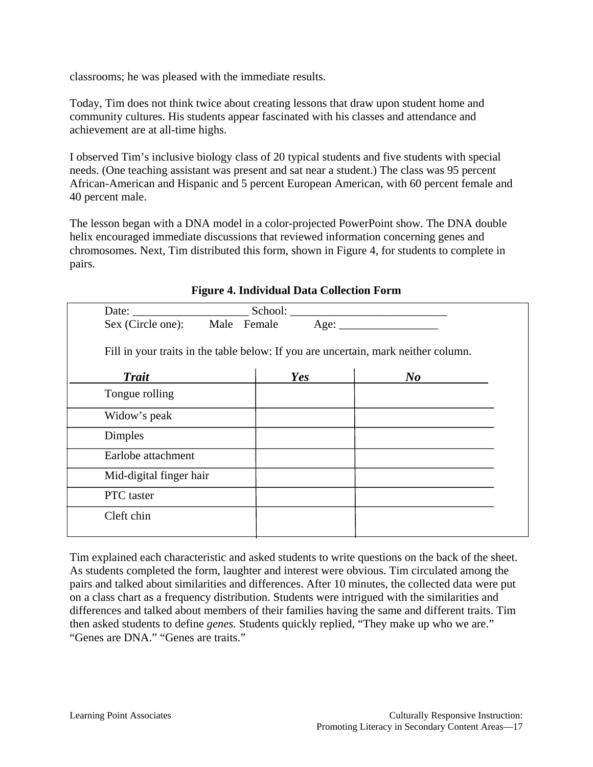classrooms; he was pleased with the immediate results.

Today, Tim does not think twice about creating lessons that draw upon student home and community cultures. His students appear fascinated with his classes and attendance and achievement are at all-time highs.

I observed Tim's inclusive biology class of 20 typical students and five students with special needs. (One teaching assistant was present and sat near a student.) The class was 95 percent African-American and Hispanic and 5 percent European American, with 60 percent female and 40 percent male.

The lesson began with a DNA model in a color-projected PowerPoint show. The DNA double helix encouraged immediate discussions that reviewed information concerning genes and chromosomes. Next, Tim distributed this form, shown in Figure 4, for students to complete in pairs.

| Date: $\frac{1}{\sqrt{1-\frac{1}{2}}\cdot\frac{1}{\sqrt{1-\frac{1}{2}}}}$ |     |                                                                                    |
|---------------------------------------------------------------------------|-----|------------------------------------------------------------------------------------|
|                                                                           |     |                                                                                    |
|                                                                           |     | Fill in your traits in the table below: If you are uncertain, mark neither column. |
| <b>Trait</b>                                                              | Yes | N o                                                                                |
| Tongue rolling                                                            |     |                                                                                    |
| Widow's peak                                                              |     |                                                                                    |
| <b>Dimples</b>                                                            |     |                                                                                    |
| Earlobe attachment                                                        |     |                                                                                    |
| Mid-digital finger hair                                                   |     |                                                                                    |
| PTC taster                                                                |     |                                                                                    |
| Cleft chin                                                                |     |                                                                                    |
|                                                                           |     |                                                                                    |

#### **Figure 4. Individual Data Collection Form**

Tim explained each characteristic and asked students to write questions on the back of the sheet. As students completed the form, laughter and interest were obvious. Tim circulated among the pairs and talked about similarities and differences. After 10 minutes, the collected data were put on a class chart as a frequency distribution. Students were intrigued with the similarities and differences and talked about members of their families having the same and different traits. Tim then asked students to define *genes.* Students quickly replied, "They make up who we are." "Genes are DNA." "Genes are traits."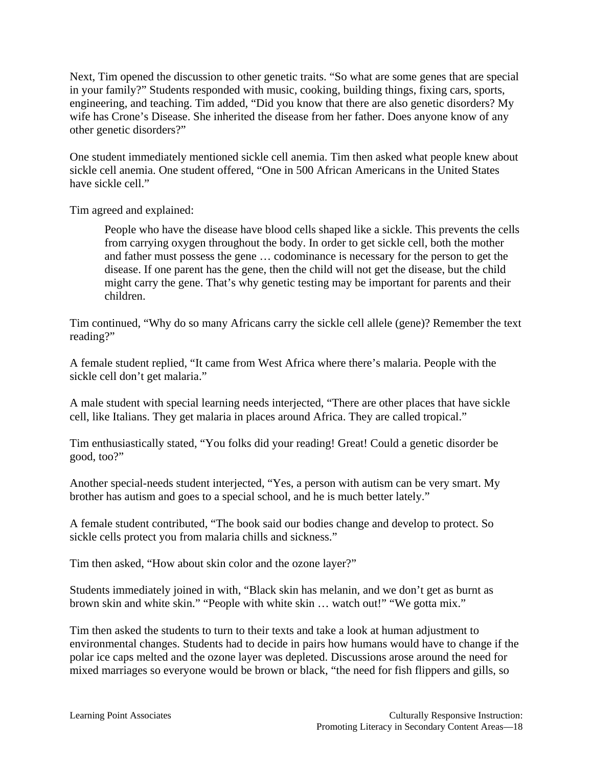Next, Tim opened the discussion to other genetic traits. "So what are some genes that are special in your family?" Students responded with music, cooking, building things, fixing cars, sports, engineering, and teaching. Tim added, "Did you know that there are also genetic disorders? My wife has Crone's Disease. She inherited the disease from her father. Does anyone know of any other genetic disorders?"

One student immediately mentioned sickle cell anemia. Tim then asked what people knew about sickle cell anemia. One student offered, "One in 500 African Americans in the United States have sickle cell."

Tim agreed and explained:

People who have the disease have blood cells shaped like a sickle. This prevents the cells from carrying oxygen throughout the body. In order to get sickle cell, both the mother and father must possess the gene … codominance is necessary for the person to get the disease. If one parent has the gene, then the child will not get the disease, but the child might carry the gene. That's why genetic testing may be important for parents and their children.

Tim continued, "Why do so many Africans carry the sickle cell allele (gene)? Remember the text reading?"

A female student replied, "It came from West Africa where there's malaria. People with the sickle cell don't get malaria."

A male student with special learning needs interjected, "There are other places that have sickle cell, like Italians. They get malaria in places around Africa. They are called tropical."

Tim enthusiastically stated, "You folks did your reading! Great! Could a genetic disorder be good, too?"

Another special-needs student interjected, "Yes, a person with autism can be very smart. My brother has autism and goes to a special school, and he is much better lately."

A female student contributed, "The book said our bodies change and develop to protect. So sickle cells protect you from malaria chills and sickness."

Tim then asked, "How about skin color and the ozone layer?"

Students immediately joined in with, "Black skin has melanin, and we don't get as burnt as brown skin and white skin." "People with white skin ... watch out!" "We gotta mix."

Tim then asked the students to turn to their texts and take a look at human adjustment to environmental changes. Students had to decide in pairs how humans would have to change if the polar ice caps melted and the ozone layer was depleted. Discussions arose around the need for mixed marriages so everyone would be brown or black, "the need for fish flippers and gills, so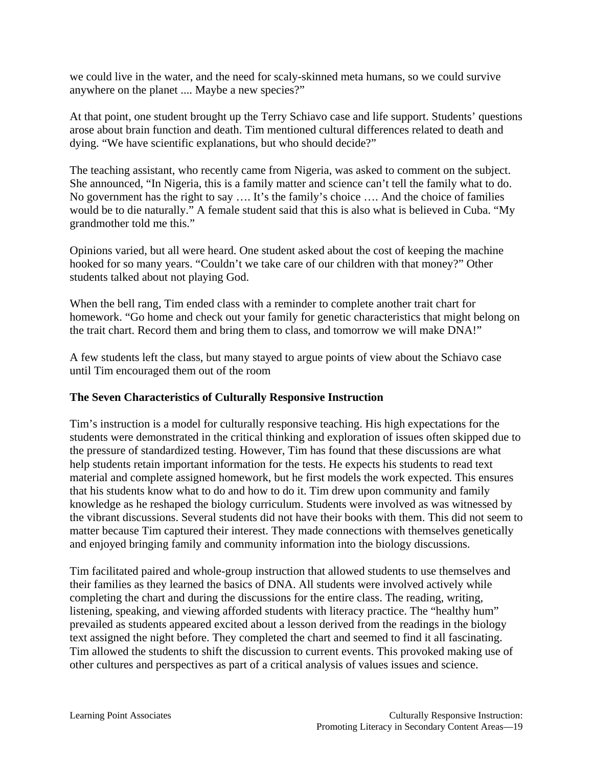we could live in the water, and the need for scaly-skinned meta humans, so we could survive anywhere on the planet .... Maybe a new species?"

At that point, one student brought up the Terry Schiavo case and life support. Students' questions arose about brain function and death. Tim mentioned cultural differences related to death and dying. "We have scientific explanations, but who should decide?"

The teaching assistant, who recently came from Nigeria, was asked to comment on the subject. She announced, "In Nigeria, this is a family matter and science can't tell the family what to do. No government has the right to say …. It's the family's choice …. And the choice of families would be to die naturally." A female student said that this is also what is believed in Cuba. "My grandmother told me this."

Opinions varied, but all were heard. One student asked about the cost of keeping the machine hooked for so many years. "Couldn't we take care of our children with that money?" Other students talked about not playing God.

When the bell rang, Tim ended class with a reminder to complete another trait chart for homework. "Go home and check out your family for genetic characteristics that might belong on the trait chart. Record them and bring them to class, and tomorrow we will make DNA!"

A few students left the class, but many stayed to argue points of view about the Schiavo case until Tim encouraged them out of the room

#### **The Seven Characteristics of Culturally Responsive Instruction**

Tim's instruction is a model for culturally responsive teaching. His high expectations for the students were demonstrated in the critical thinking and exploration of issues often skipped due to the pressure of standardized testing. However, Tim has found that these discussions are what help students retain important information for the tests. He expects his students to read text material and complete assigned homework, but he first models the work expected. This ensures that his students know what to do and how to do it. Tim drew upon community and family knowledge as he reshaped the biology curriculum. Students were involved as was witnessed by the vibrant discussions. Several students did not have their books with them. This did not seem to matter because Tim captured their interest. They made connections with themselves genetically and enjoyed bringing family and community information into the biology discussions.

Tim facilitated paired and whole-group instruction that allowed students to use themselves and their families as they learned the basics of DNA. All students were involved actively while completing the chart and during the discussions for the entire class. The reading, writing, listening, speaking, and viewing afforded students with literacy practice. The "healthy hum" prevailed as students appeared excited about a lesson derived from the readings in the biology text assigned the night before. They completed the chart and seemed to find it all fascinating. Tim allowed the students to shift the discussion to current events. This provoked making use of other cultures and perspectives as part of a critical analysis of values issues and science.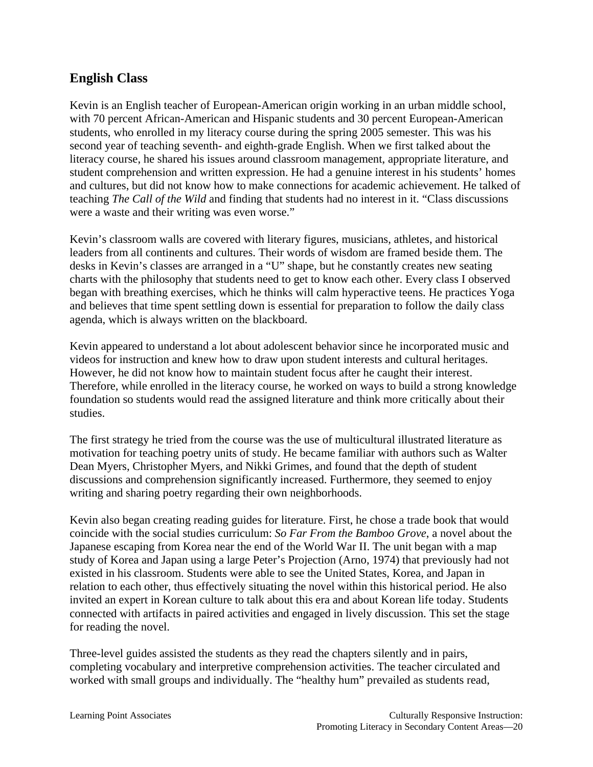### **English Class**

Kevin is an English teacher of European-American origin working in an urban middle school, with 70 percent African-American and Hispanic students and 30 percent European-American students, who enrolled in my literacy course during the spring 2005 semester. This was his second year of teaching seventh- and eighth-grade English. When we first talked about the literacy course, he shared his issues around classroom management, appropriate literature, and student comprehension and written expression. He had a genuine interest in his students' homes and cultures, but did not know how to make connections for academic achievement. He talked of teaching *The Call of the Wild* and finding that students had no interest in it. "Class discussions were a waste and their writing was even worse."

Kevin's classroom walls are covered with literary figures, musicians, athletes, and historical leaders from all continents and cultures. Their words of wisdom are framed beside them. The desks in Kevin's classes are arranged in a "U" shape, but he constantly creates new seating charts with the philosophy that students need to get to know each other. Every class I observed began with breathing exercises, which he thinks will calm hyperactive teens. He practices Yoga and believes that time spent settling down is essential for preparation to follow the daily class agenda, which is always written on the blackboard.

Kevin appeared to understand a lot about adolescent behavior since he incorporated music and videos for instruction and knew how to draw upon student interests and cultural heritages. However, he did not know how to maintain student focus after he caught their interest. Therefore, while enrolled in the literacy course, he worked on ways to build a strong knowledge foundation so students would read the assigned literature and think more critically about their studies.

The first strategy he tried from the course was the use of multicultural illustrated literature as motivation for teaching poetry units of study. He became familiar with authors such as Walter Dean Myers, Christopher Myers, and Nikki Grimes, and found that the depth of student discussions and comprehension significantly increased. Furthermore, they seemed to enjoy writing and sharing poetry regarding their own neighborhoods.

Kevin also began creating reading guides for literature. First, he chose a trade book that would coincide with the social studies curriculum: *So Far From the Bamboo Grove*, a novel about the Japanese escaping from Korea near the end of the World War II. The unit began with a map study of Korea and Japan using a large Peter's Projection (Arno, 1974) that previously had not existed in his classroom. Students were able to see the United States, Korea, and Japan in relation to each other, thus effectively situating the novel within this historical period. He also invited an expert in Korean culture to talk about this era and about Korean life today. Students connected with artifacts in paired activities and engaged in lively discussion. This set the stage for reading the novel.

Three-level guides assisted the students as they read the chapters silently and in pairs, completing vocabulary and interpretive comprehension activities. The teacher circulated and worked with small groups and individually. The "healthy hum" prevailed as students read,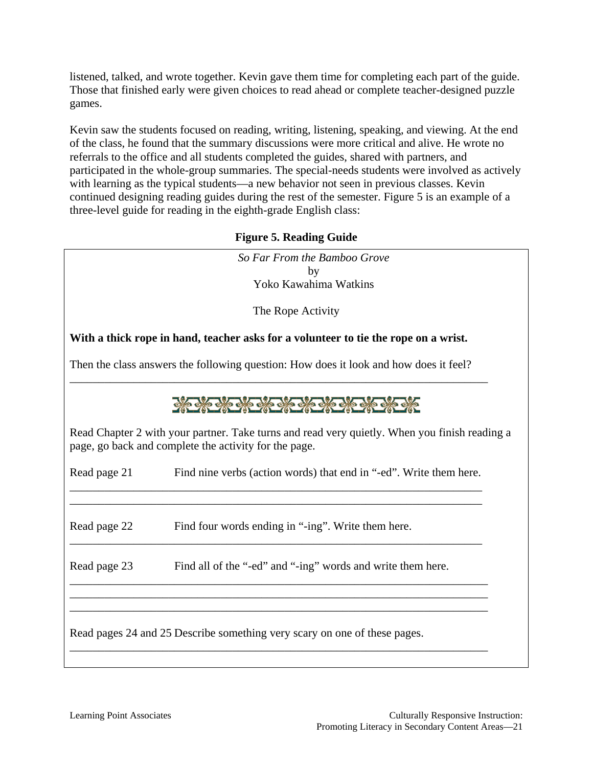listened, talked, and wrote together. Kevin gave them time for completing each part of the guide. Those that finished early were given choices to read ahead or complete teacher-designed puzzle games.

Kevin saw the students focused on reading, writing, listening, speaking, and viewing. At the end of the class, he found that the summary discussions were more critical and alive. He wrote no referrals to the office and all students completed the guides, shared with partners, and participated in the whole-group summaries. The special-needs students were involved as actively with learning as the typical students—a new behavior not seen in previous classes. Kevin continued designing reading guides during the rest of the semester. Figure 5 is an example of a three-level guide for reading in the eighth-grade English class:

#### **Figure 5. Reading Guide**

|              | So Far From the Bamboo Grove                                                                                                                           |
|--------------|--------------------------------------------------------------------------------------------------------------------------------------------------------|
|              | by                                                                                                                                                     |
|              | Yoko Kawahima Watkins                                                                                                                                  |
|              | The Rope Activity                                                                                                                                      |
|              | With a thick rope in hand, teacher asks for a volunteer to tie the rope on a wrist.                                                                    |
|              | Then the class answers the following question: How does it look and how does it feel?                                                                  |
|              | <b>CONTROL OF ONE ONE ONE</b>                                                                                                                          |
|              | Read Chapter 2 with your partner. Take turns and read very quietly. When you finish reading a<br>page, go back and complete the activity for the page. |
| Read page 21 | Find nine verbs (action words) that end in "-ed". Write them here.                                                                                     |
| Read page 22 | Find four words ending in "-ing". Write them here.                                                                                                     |
| Read page 23 | Find all of the "-ed" and "-ing" words and write them here.                                                                                            |
|              | Read pages 24 and 25 Describe something very scary on one of these pages.                                                                              |
|              |                                                                                                                                                        |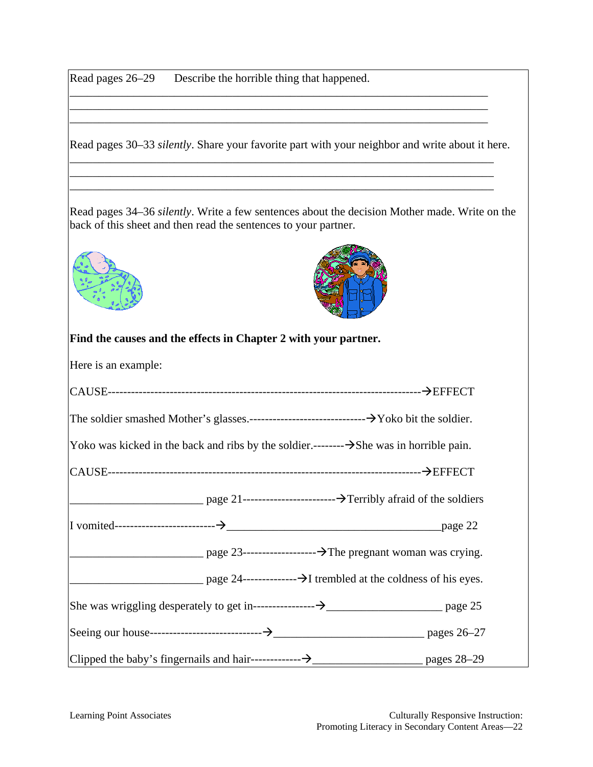Read pages 26–29 Describe the horrible thing that happened.

Read pages 30–33 *silently*. Share your favorite part with your neighbor and write about it here. \_\_\_\_\_\_\_\_\_\_\_\_\_\_\_\_\_\_\_\_\_\_\_\_\_\_\_\_\_\_\_\_\_\_\_\_\_\_\_\_\_\_\_\_\_\_\_\_\_\_\_\_\_\_\_\_\_\_\_\_\_\_\_\_\_\_\_\_\_\_\_\_\_

\_\_\_\_\_\_\_\_\_\_\_\_\_\_\_\_\_\_\_\_\_\_\_\_\_\_\_\_\_\_\_\_\_\_\_\_\_\_\_\_\_\_\_\_\_\_\_\_\_\_\_\_\_\_\_\_\_\_\_\_\_\_\_\_\_\_\_\_\_\_\_\_\_ \_\_\_\_\_\_\_\_\_\_\_\_\_\_\_\_\_\_\_\_\_\_\_\_\_\_\_\_\_\_\_\_\_\_\_\_\_\_\_\_\_\_\_\_\_\_\_\_\_\_\_\_\_\_\_\_\_\_\_\_\_\_\_\_\_\_\_\_\_\_\_\_\_

\_\_\_\_\_\_\_\_\_\_\_\_\_\_\_\_\_\_\_\_\_\_\_\_\_\_\_\_\_\_\_\_\_\_\_\_\_\_\_\_\_\_\_\_\_\_\_\_\_\_\_\_\_\_\_\_\_\_\_\_\_\_\_\_\_\_\_\_\_\_\_\_ \_\_\_\_\_\_\_\_\_\_\_\_\_\_\_\_\_\_\_\_\_\_\_\_\_\_\_\_\_\_\_\_\_\_\_\_\_\_\_\_\_\_\_\_\_\_\_\_\_\_\_\_\_\_\_\_\_\_\_\_\_\_\_\_\_\_\_\_\_\_\_\_ \_\_\_\_\_\_\_\_\_\_\_\_\_\_\_\_\_\_\_\_\_\_\_\_\_\_\_\_\_\_\_\_\_\_\_\_\_\_\_\_\_\_\_\_\_\_\_\_\_\_\_\_\_\_\_\_\_\_\_\_\_\_\_\_\_\_\_\_\_\_\_\_

Read pages 34–36 *silently*. Write a few sentences about the decision Mother made. Write on the back of this sheet and then read the sentences to your partner.





#### **Find the causes and the effects in Chapter 2 with your partner.**

Here is an example:

| Yoko was kicked in the back and ribs by the soldier.-------- $\rightarrow$ She was in horrible pain. |                                                                                                                                                                                                                                                                                                                                                                                                                                   |
|------------------------------------------------------------------------------------------------------|-----------------------------------------------------------------------------------------------------------------------------------------------------------------------------------------------------------------------------------------------------------------------------------------------------------------------------------------------------------------------------------------------------------------------------------|
|                                                                                                      |                                                                                                                                                                                                                                                                                                                                                                                                                                   |
|                                                                                                      |                                                                                                                                                                                                                                                                                                                                                                                                                                   |
|                                                                                                      |                                                                                                                                                                                                                                                                                                                                                                                                                                   |
|                                                                                                      | $\frac{1}{\sqrt{1-\frac{1}{\sqrt{1-\frac{1}{\sqrt{1-\frac{1}{\sqrt{1-\frac{1}{\sqrt{1-\frac{1}{\sqrt{1-\frac{1}{\sqrt{1-\frac{1}{\sqrt{1-\frac{1}{\sqrt{1-\frac{1}{\sqrt{1-\frac{1}{\sqrt{1-\frac{1}{\sqrt{1-\frac{1}{\sqrt{1-\frac{1}{\sqrt{1-\frac{1}{\sqrt{1-\frac{1}{\sqrt{1-\frac{1}{\sqrt{1-\frac{1}{\sqrt{1-\frac{1}{\sqrt{1-\frac{1}{\sqrt{1-\frac{1}{\sqrt{1-\frac{1}{\sqrt{1-\frac{1}{\sqrt{1-\frac{1}{\sqrt{1-\frac{1$ |
|                                                                                                      |                                                                                                                                                                                                                                                                                                                                                                                                                                   |
|                                                                                                      |                                                                                                                                                                                                                                                                                                                                                                                                                                   |
|                                                                                                      |                                                                                                                                                                                                                                                                                                                                                                                                                                   |
|                                                                                                      |                                                                                                                                                                                                                                                                                                                                                                                                                                   |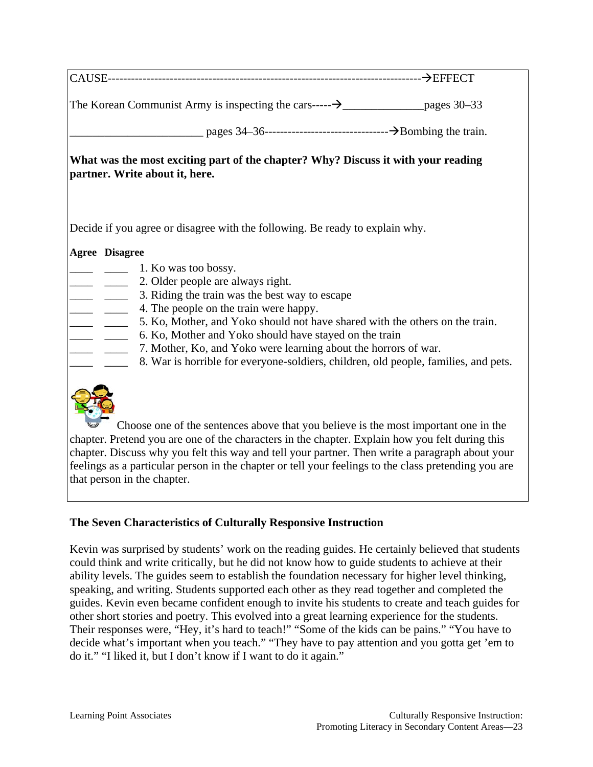| What was the most exciting part of the chapter? Why? Discuss it with your reading<br>partner. Write about it, here.                                                                    |  |
|----------------------------------------------------------------------------------------------------------------------------------------------------------------------------------------|--|
| Decide if you agree or disagree with the following. Be ready to explain why.                                                                                                           |  |
| <b>Agree Disagree</b>                                                                                                                                                                  |  |
| $\frac{1}{\sqrt{1-x^2}}$ 1. Ko was too bossy.                                                                                                                                          |  |
| 2. Older people are always right.<br>3. Riding the train was the best way to escape                                                                                                    |  |
| $\frac{1}{1}$<br>4. The people on the train were happy.                                                                                                                                |  |
| 5. Ko, Mother, and Yoko should not have shared with the others on the train.                                                                                                           |  |
| 6. Ko, Mother and Yoko should have stayed on the train                                                                                                                                 |  |
| 7. Mother, Ko, and Yoko were learning about the horrors of war.                                                                                                                        |  |
| 8. War is horrible for everyone-soldiers, children, old people, families, and pets.                                                                                                    |  |
| Choose one of the sentences above that you believe is the most important one in the<br>chapter. Pretend you are one of the characters in the chapter. Explain how you felt during this |  |

chapter. Pretend you are one of the characters in the chapter. Explain how you felt during this chapter. Discuss why you felt this way and tell your partner. Then write a paragraph about your feelings as a particular person in the chapter or tell your feelings to the class pretending you are that person in the chapter.

#### **The Seven Characteristics of Culturally Responsive Instruction**

Kevin was surprised by students' work on the reading guides. He certainly believed that students could think and write critically, but he did not know how to guide students to achieve at their ability levels. The guides seem to establish the foundation necessary for higher level thinking, speaking, and writing. Students supported each other as they read together and completed the guides. Kevin even became confident enough to invite his students to create and teach guides for other short stories and poetry. This evolved into a great learning experience for the students. Their responses were, "Hey, it's hard to teach!" "Some of the kids can be pains." "You have to decide what's important when you teach." "They have to pay attention and you gotta get 'em to do it." "I liked it, but I don't know if I want to do it again."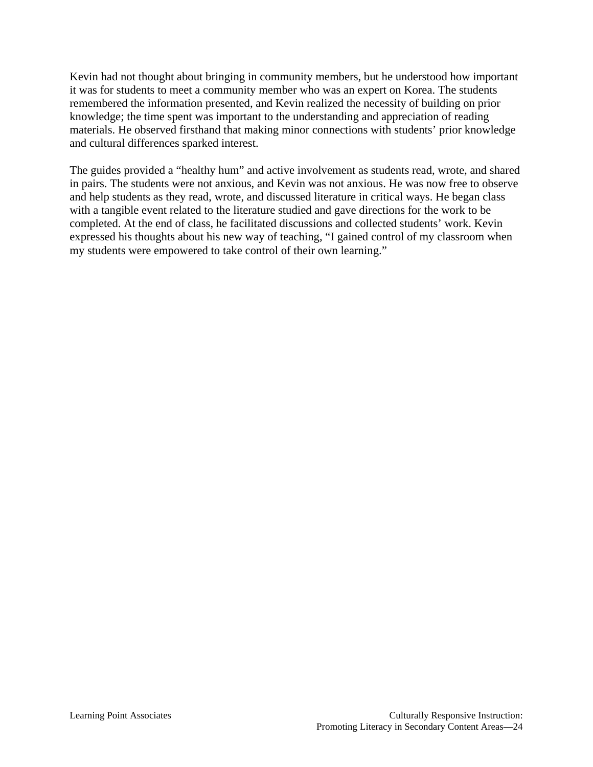Kevin had not thought about bringing in community members, but he understood how important it was for students to meet a community member who was an expert on Korea. The students remembered the information presented, and Kevin realized the necessity of building on prior knowledge; the time spent was important to the understanding and appreciation of reading materials. He observed firsthand that making minor connections with students' prior knowledge and cultural differences sparked interest.

The guides provided a "healthy hum" and active involvement as students read, wrote, and shared in pairs. The students were not anxious, and Kevin was not anxious. He was now free to observe and help students as they read, wrote, and discussed literature in critical ways. He began class with a tangible event related to the literature studied and gave directions for the work to be completed. At the end of class, he facilitated discussions and collected students' work. Kevin expressed his thoughts about his new way of teaching, "I gained control of my classroom when my students were empowered to take control of their own learning."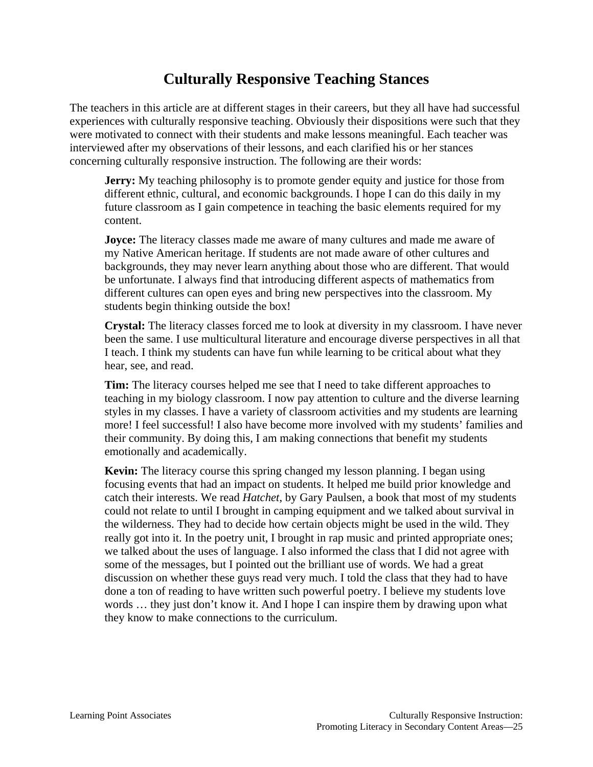# **Culturally Responsive Teaching Stances**

The teachers in this article are at different stages in their careers, but they all have had successful experiences with culturally responsive teaching. Obviously their dispositions were such that they were motivated to connect with their students and make lessons meaningful. Each teacher was interviewed after my observations of their lessons, and each clarified his or her stances concerning culturally responsive instruction. The following are their words:

**Jerry:** My teaching philosophy is to promote gender equity and justice for those from different ethnic, cultural, and economic backgrounds. I hope I can do this daily in my future classroom as I gain competence in teaching the basic elements required for my content.

**Joyce:** The literacy classes made me aware of many cultures and made me aware of my Native American heritage. If students are not made aware of other cultures and backgrounds, they may never learn anything about those who are different. That would be unfortunate. I always find that introducing different aspects of mathematics from different cultures can open eyes and bring new perspectives into the classroom. My students begin thinking outside the box!

**Crystal:** The literacy classes forced me to look at diversity in my classroom. I have never been the same. I use multicultural literature and encourage diverse perspectives in all that I teach. I think my students can have fun while learning to be critical about what they hear, see, and read.

**Tim:** The literacy courses helped me see that I need to take different approaches to teaching in my biology classroom. I now pay attention to culture and the diverse learning styles in my classes. I have a variety of classroom activities and my students are learning more! I feel successful! I also have become more involved with my students' families and their community. By doing this, I am making connections that benefit my students emotionally and academically.

**Kevin:** The literacy course this spring changed my lesson planning. I began using focusing events that had an impact on students. It helped me build prior knowledge and catch their interests. We read *Hatchet*, by Gary Paulsen, a book that most of my students could not relate to until I brought in camping equipment and we talked about survival in the wilderness. They had to decide how certain objects might be used in the wild. They really got into it. In the poetry unit, I brought in rap music and printed appropriate ones; we talked about the uses of language. I also informed the class that I did not agree with some of the messages, but I pointed out the brilliant use of words. We had a great discussion on whether these guys read very much. I told the class that they had to have done a ton of reading to have written such powerful poetry. I believe my students love words … they just don't know it. And I hope I can inspire them by drawing upon what they know to make connections to the curriculum.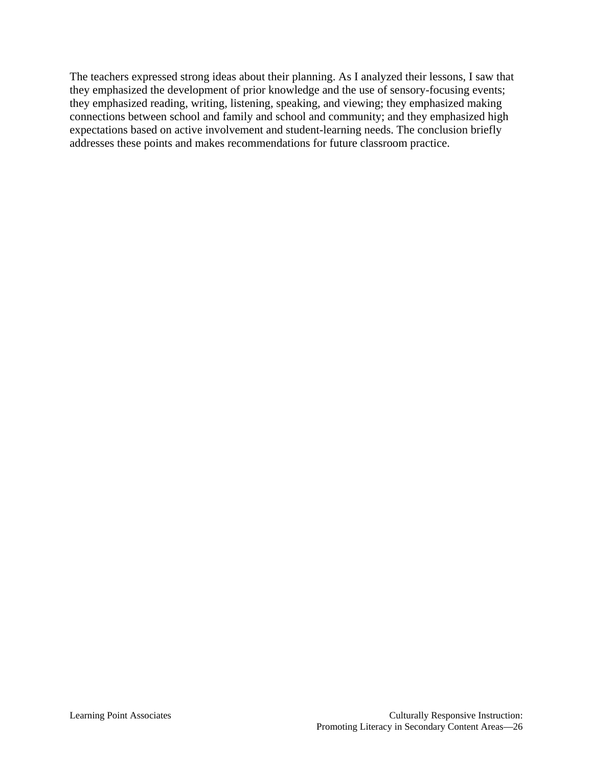The teachers expressed strong ideas about their planning. As I analyzed their lessons, I saw that they emphasized the development of prior knowledge and the use of sensory-focusing events; they emphasized reading, writing, listening, speaking, and viewing; they emphasized making connections between school and family and school and community; and they emphasized high expectations based on active involvement and student-learning needs. The conclusion briefly addresses these points and makes recommendations for future classroom practice.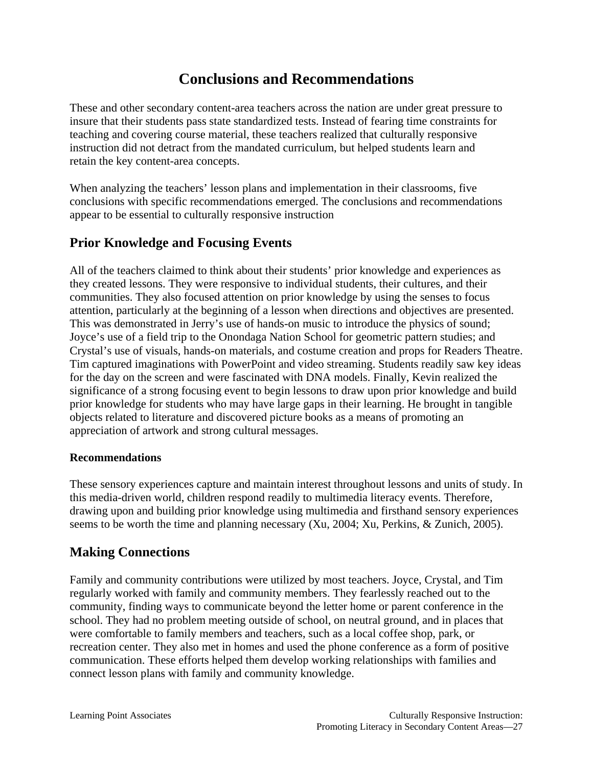# **Conclusions and Recommendations**

These and other secondary content-area teachers across the nation are under great pressure to insure that their students pass state standardized tests. Instead of fearing time constraints for teaching and covering course material, these teachers realized that culturally responsive instruction did not detract from the mandated curriculum, but helped students learn and retain the key content-area concepts.

When analyzing the teachers' lesson plans and implementation in their classrooms, five conclusions with specific recommendations emerged. The conclusions and recommendations appear to be essential to culturally responsive instruction

### **Prior Knowledge and Focusing Events**

All of the teachers claimed to think about their students' prior knowledge and experiences as they created lessons. They were responsive to individual students, their cultures, and their communities. They also focused attention on prior knowledge by using the senses to focus attention, particularly at the beginning of a lesson when directions and objectives are presented. This was demonstrated in Jerry's use of hands-on music to introduce the physics of sound; Joyce's use of a field trip to the Onondaga Nation School for geometric pattern studies; and Crystal's use of visuals, hands-on materials, and costume creation and props for Readers Theatre. Tim captured imaginations with PowerPoint and video streaming. Students readily saw key ideas for the day on the screen and were fascinated with DNA models. Finally, Kevin realized the significance of a strong focusing event to begin lessons to draw upon prior knowledge and build prior knowledge for students who may have large gaps in their learning. He brought in tangible objects related to literature and discovered picture books as a means of promoting an appreciation of artwork and strong cultural messages.

#### **Recommendations**

These sensory experiences capture and maintain interest throughout lessons and units of study. In this media-driven world, children respond readily to multimedia literacy events. Therefore, drawing upon and building prior knowledge using multimedia and firsthand sensory experiences seems to be worth the time and planning necessary (Xu, 2004; Xu, Perkins, & Zunich, 2005).

### **Making Connections**

Family and community contributions were utilized by most teachers. Joyce, Crystal, and Tim regularly worked with family and community members. They fearlessly reached out to the community, finding ways to communicate beyond the letter home or parent conference in the school. They had no problem meeting outside of school, on neutral ground, and in places that were comfortable to family members and teachers, such as a local coffee shop, park, or recreation center. They also met in homes and used the phone conference as a form of positive communication. These efforts helped them develop working relationships with families and connect lesson plans with family and community knowledge.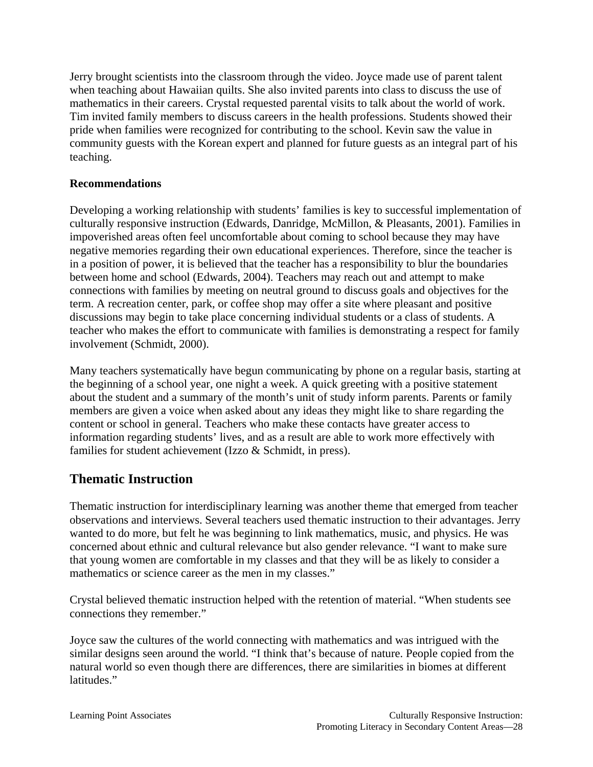Jerry brought scientists into the classroom through the video. Joyce made use of parent talent when teaching about Hawaiian quilts. She also invited parents into class to discuss the use of mathematics in their careers. Crystal requested parental visits to talk about the world of work. Tim invited family members to discuss careers in the health professions. Students showed their pride when families were recognized for contributing to the school. Kevin saw the value in community guests with the Korean expert and planned for future guests as an integral part of his teaching.

#### **Recommendations**

Developing a working relationship with students' families is key to successful implementation of culturally responsive instruction (Edwards, Danridge, McMillon, & Pleasants, 2001). Families in impoverished areas often feel uncomfortable about coming to school because they may have negative memories regarding their own educational experiences. Therefore, since the teacher is in a position of power, it is believed that the teacher has a responsibility to blur the boundaries between home and school (Edwards, 2004). Teachers may reach out and attempt to make connections with families by meeting on neutral ground to discuss goals and objectives for the term. A recreation center, park, or coffee shop may offer a site where pleasant and positive discussions may begin to take place concerning individual students or a class of students. A teacher who makes the effort to communicate with families is demonstrating a respect for family involvement (Schmidt, 2000).

Many teachers systematically have begun communicating by phone on a regular basis, starting at the beginning of a school year, one night a week. A quick greeting with a positive statement about the student and a summary of the month's unit of study inform parents. Parents or family members are given a voice when asked about any ideas they might like to share regarding the content or school in general. Teachers who make these contacts have greater access to information regarding students' lives, and as a result are able to work more effectively with families for student achievement (Izzo & Schmidt, in press).

# **Thematic Instruction**

Thematic instruction for interdisciplinary learning was another theme that emerged from teacher observations and interviews. Several teachers used thematic instruction to their advantages. Jerry wanted to do more, but felt he was beginning to link mathematics, music, and physics. He was concerned about ethnic and cultural relevance but also gender relevance. "I want to make sure that young women are comfortable in my classes and that they will be as likely to consider a mathematics or science career as the men in my classes."

Crystal believed thematic instruction helped with the retention of material. "When students see connections they remember."

Joyce saw the cultures of the world connecting with mathematics and was intrigued with the similar designs seen around the world. "I think that's because of nature. People copied from the natural world so even though there are differences, there are similarities in biomes at different latitudes."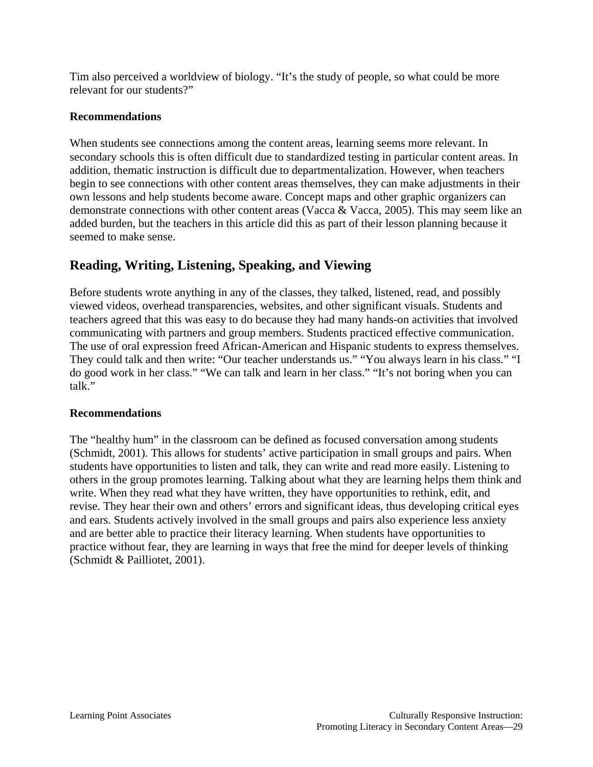Tim also perceived a worldview of biology. "It's the study of people, so what could be more relevant for our students?"

#### **Recommendations**

When students see connections among the content areas, learning seems more relevant. In secondary schools this is often difficult due to standardized testing in particular content areas. In addition, thematic instruction is difficult due to departmentalization. However, when teachers begin to see connections with other content areas themselves, they can make adjustments in their own lessons and help students become aware. Concept maps and other graphic organizers can demonstrate connections with other content areas (Vacca & Vacca, 2005). This may seem like an added burden, but the teachers in this article did this as part of their lesson planning because it seemed to make sense.

### **Reading, Writing, Listening, Speaking, and Viewing**

Before students wrote anything in any of the classes, they talked, listened, read, and possibly viewed videos, overhead transparencies, websites, and other significant visuals. Students and teachers agreed that this was easy to do because they had many hands-on activities that involved communicating with partners and group members. Students practiced effective communication. The use of oral expression freed African-American and Hispanic students to express themselves. They could talk and then write: "Our teacher understands us." "You always learn in his class." "I do good work in her class." "We can talk and learn in her class." "It's not boring when you can talk."

#### **Recommendations**

The "healthy hum" in the classroom can be defined as focused conversation among students (Schmidt, 2001). This allows for students' active participation in small groups and pairs. When students have opportunities to listen and talk, they can write and read more easily. Listening to others in the group promotes learning. Talking about what they are learning helps them think and write. When they read what they have written, they have opportunities to rethink, edit, and revise. They hear their own and others' errors and significant ideas, thus developing critical eyes and ears. Students actively involved in the small groups and pairs also experience less anxiety and are better able to practice their literacy learning. When students have opportunities to practice without fear, they are learning in ways that free the mind for deeper levels of thinking (Schmidt & Pailliotet, 2001).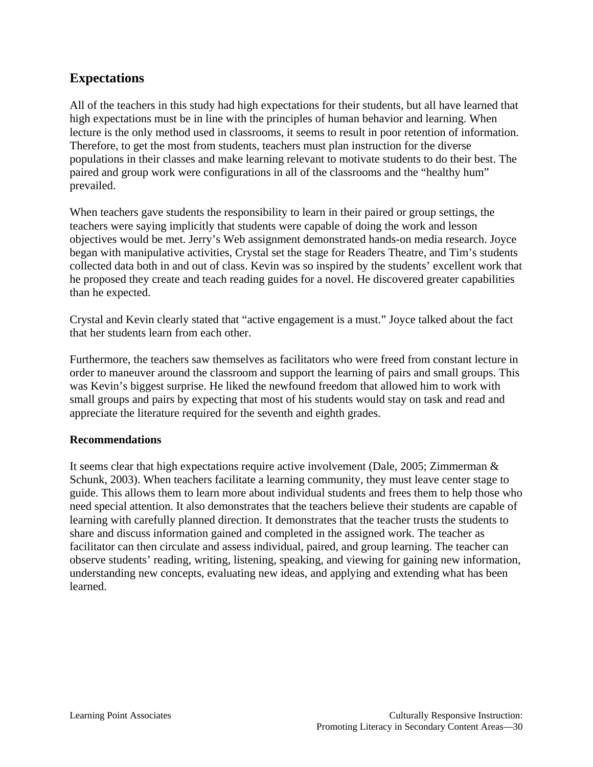### **Expectations**

All of the teachers in this study had high expectations for their students, but all have learned that high expectations must be in line with the principles of human behavior and learning. When lecture is the only method used in classrooms, it seems to result in poor retention of information. Therefore, to get the most from students, teachers must plan instruction for the diverse populations in their classes and make learning relevant to motivate students to do their best. The paired and group work were configurations in all of the classrooms and the "healthy hum" prevailed.

When teachers gave students the responsibility to learn in their paired or group settings, the teachers were saying implicitly that students were capable of doing the work and lesson objectives would be met. Jerry's Web assignment demonstrated hands-on media research. Joyce began with manipulative activities, Crystal set the stage for Readers Theatre, and Tim's students collected data both in and out of class. Kevin was so inspired by the students' excellent work that he proposed they create and teach reading guides for a novel. He discovered greater capabilities than he expected.

Crystal and Kevin clearly stated that "active engagement is a must." Joyce talked about the fact that her students learn from each other.

Furthermore, the teachers saw themselves as facilitators who were freed from constant lecture in order to maneuver around the classroom and support the learning of pairs and small groups. This was Kevin's biggest surprise. He liked the newfound freedom that allowed him to work with small groups and pairs by expecting that most of his students would stay on task and read and appreciate the literature required for the seventh and eighth grades.

#### **Recommendations**

It seems clear that high expectations require active involvement (Dale, 2005; Zimmerman & Schunk, 2003). When teachers facilitate a learning community, they must leave center stage to guide. This allows them to learn more about individual students and frees them to help those who need special attention. It also demonstrates that the teachers believe their students are capable of learning with carefully planned direction. It demonstrates that the teacher trusts the students to share and discuss information gained and completed in the assigned work. The teacher as facilitator can then circulate and assess individual, paired, and group learning. The teacher can observe students' reading, writing, listening, speaking, and viewing for gaining new information, understanding new concepts, evaluating new ideas, and applying and extending what has been learned.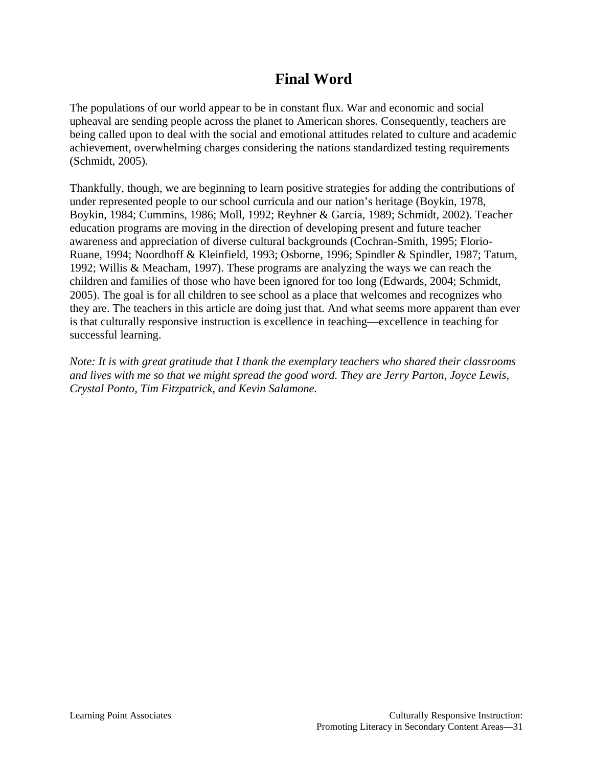# **Final Word**

The populations of our world appear to be in constant flux. War and economic and social upheaval are sending people across the planet to American shores. Consequently, teachers are being called upon to deal with the social and emotional attitudes related to culture and academic achievement, overwhelming charges considering the nations standardized testing requirements (Schmidt, 2005).

Thankfully, though, we are beginning to learn positive strategies for adding the contributions of under represented people to our school curricula and our nation's heritage (Boykin, 1978, Boykin, 1984; Cummins, 1986; Moll, 1992; Reyhner & Garcia, 1989; Schmidt, 2002). Teacher education programs are moving in the direction of developing present and future teacher awareness and appreciation of diverse cultural backgrounds (Cochran-Smith, 1995; Florio-Ruane, 1994; Noordhoff & Kleinfield, 1993; Osborne, 1996; Spindler & Spindler, 1987; Tatum, 1992; Willis & Meacham, 1997). These programs are analyzing the ways we can reach the children and families of those who have been ignored for too long (Edwards, 2004; Schmidt, 2005). The goal is for all children to see school as a place that welcomes and recognizes who they are. The teachers in this article are doing just that. And what seems more apparent than ever is that culturally responsive instruction is excellence in teaching—excellence in teaching for successful learning.

*Note: It is with great gratitude that I thank the exemplary teachers who shared their classrooms and lives with me so that we might spread the good word. They are Jerry Parton, Joyce Lewis, Crystal Ponto, Tim Fitzpatrick, and Kevin Salamone.*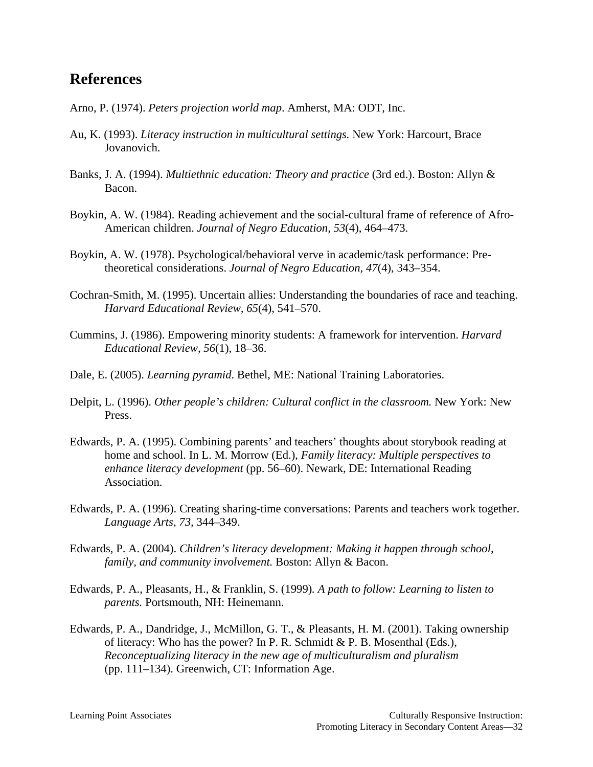# **References**

- Arno, P. (1974). *Peters projection world map*. Amherst, MA: ODT, Inc.
- Au, K. (1993). *Literacy instruction in multicultural settings.* New York: Harcourt, Brace Jovanovich.
- Banks, J. A. (1994). *Multiethnic education: Theory and practice* (3rd ed.). Boston: Allyn & Bacon.
- Boykin, A. W. (1984). Reading achievement and the social-cultural frame of reference of Afro-American children. *Journal of Negro Education, 53*(4), 464–473.
- Boykin, A. W. (1978). Psychological/behavioral verve in academic/task performance: Pretheoretical considerations. *Journal of Negro Education, 47*(4), 343–354.
- Cochran-Smith, M. (1995). Uncertain allies: Understanding the boundaries of race and teaching. *Harvard Educational Review, 65*(4), 541–570.
- Cummins, J. (1986). Empowering minority students: A framework for intervention. *Harvard Educational Review, 56*(1), 18–36.
- Dale, E. (2005). *Learning pyramid*. Bethel, ME: National Training Laboratories.
- Delpit, L. (1996). *Other people's children: Cultural conflict in the classroom.* New York: New Press.
- Edwards, P. A. (1995). Combining parents' and teachers' thoughts about storybook reading at home and school. In L. M. Morrow (Ed.), *Family literacy: Multiple perspectives to enhance literacy development* (pp. 56–60). Newark, DE: International Reading Association.
- Edwards, P. A. (1996). Creating sharing-time conversations: Parents and teachers work together. *Language Arts, 73,* 344–349.
- Edwards, P. A. (2004). *Children's literacy development: Making it happen through school, family, and community involvement.* Boston: Allyn & Bacon.
- Edwards, P. A., Pleasants, H., & Franklin, S. (1999)*. A path to follow: Learning to listen to parents.* Portsmouth, NH: Heinemann.
- Edwards, P. A., Dandridge, J., McMillon, G. T., & Pleasants, H. M. (2001). Taking ownership of literacy: Who has the power? In P. R. Schmidt & P. B. Mosenthal (Eds.), *Reconceptualizing literacy in the new age of multiculturalism and pluralism*  (pp. 111–134). Greenwich, CT: Information Age.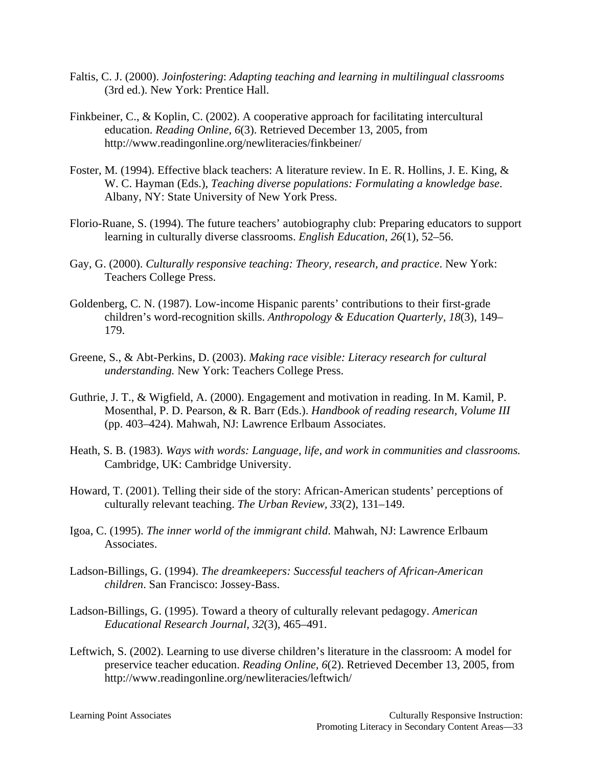- Faltis, C. J. (2000). *Joinfostering*: *Adapting teaching and learning in multilingual classrooms*  (3rd ed.). New York: Prentice Hall.
- Finkbeiner, C., & Koplin, C. (2002). A cooperative approach for facilitating intercultural education. *Reading Online, 6*(3). Retrieved December 13, 2005, from http://www.readingonline.org/newliteracies/finkbeiner/
- Foster, M. (1994). Effective black teachers: A literature review. In E. R. Hollins, J. E. King, & W. C. Hayman (Eds.), *Teaching diverse populations: Formulating a knowledge base*. Albany, NY: State University of New York Press.
- Florio-Ruane, S. (1994). The future teachers' autobiography club: Preparing educators to support learning in culturally diverse classrooms. *English Education, 26*(1), 52–56.
- Gay, G. (2000). *Culturally responsive teaching: Theory, research, and practice*. New York: Teachers College Press.
- Goldenberg, C. N. (1987). Low-income Hispanic parents' contributions to their first-grade children's word-recognition skills. *Anthropology & Education Quarterly, 18*(3), 149– 179.
- Greene, S., & Abt-Perkins, D. (2003). *Making race visible: Literacy research for cultural understanding.* New York: Teachers College Press.
- Guthrie, J. T., & Wigfield, A. (2000). Engagement and motivation in reading. In M. Kamil, P. Mosenthal, P. D. Pearson, & R. Barr (Eds.). *Handbook of reading research, Volume III* (pp. 403–424). Mahwah, NJ: Lawrence Erlbaum Associates.
- Heath, S. B. (1983). *Ways with words: Language, life, and work in communities and classrooms.* Cambridge, UK: Cambridge University.
- Howard, T. (2001). Telling their side of the story: African-American students' perceptions of culturally relevant teaching. *The Urban Review, 33*(2), 131–149.
- Igoa, C. (1995). *The inner world of the immigrant child*. Mahwah, NJ: Lawrence Erlbaum Associates.
- Ladson-Billings, G. (1994). *The dreamkeepers: Successful teachers of African-American children*. San Francisco: Jossey-Bass.
- Ladson-Billings, G. (1995). Toward a theory of culturally relevant pedagogy. *American Educational Research Journal, 32*(3), 465–491.
- Leftwich, S. (2002). Learning to use diverse children's literature in the classroom: A model for preservice teacher education. *Reading Online, 6*(2). Retrieved December 13, 2005, from http://www.readingonline.org/newliteracies/leftwich/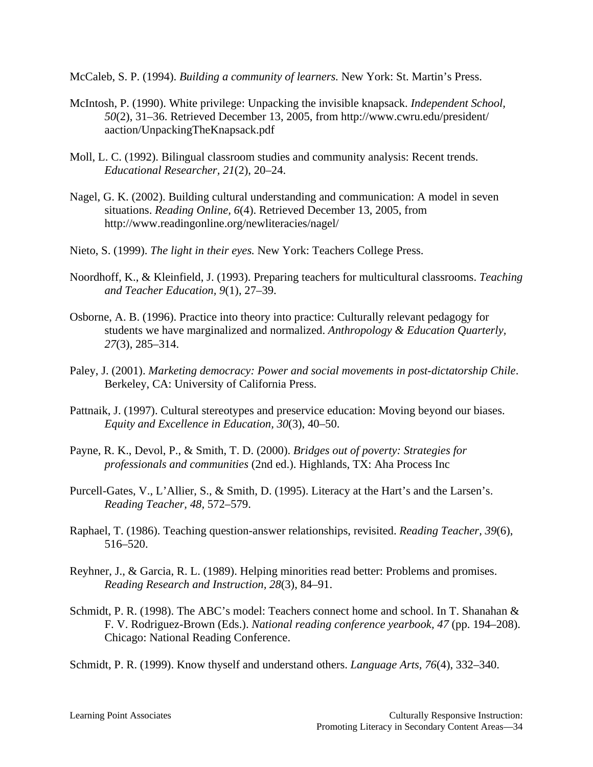McCaleb, S. P. (1994). *Building a community of learners.* New York: St. Martin's Press.

- McIntosh, P. (1990). White privilege: Unpacking the invisible knapsack. *Independent School, 50*(2), 31–36. Retrieved December 13, 2005, from http://www.cwru.edu/president/ aaction/UnpackingTheKnapsack.pdf
- Moll, L. C. (1992). Bilingual classroom studies and community analysis: Recent trends. *Educational Researcher, 21*(2), 20–24.
- Nagel, G. K. (2002). Building cultural understanding and communication: A model in seven situations. *Reading Online, 6*(4). Retrieved December 13, 2005, from http://www.readingonline.org/newliteracies/nagel/
- Nieto, S. (1999). *The light in their eyes.* New York: Teachers College Press.
- Noordhoff, K., & Kleinfield, J. (1993). Preparing teachers for multicultural classrooms. *Teaching and Teacher Education, 9*(1), 27–39.
- Osborne, A. B. (1996). Practice into theory into practice: Culturally relevant pedagogy for students we have marginalized and normalized. *Anthropology & Education Quarterly, 27*(3), 285–314.
- Paley, J. (2001). *Marketing democracy: Power and social movements in post-dictatorship Chile*. Berkeley, CA: University of California Press.
- Pattnaik, J. (1997). Cultural stereotypes and preservice education: Moving beyond our biases. *Equity and Excellence in Education, 30*(3), 40–50.
- Payne, R. K., Devol, P., & Smith, T. D. (2000). *Bridges out of poverty: Strategies for professionals and communities* (2nd ed.). Highlands, TX: Aha Process Inc
- Purcell-Gates, V., L'Allier, S., & Smith, D. (1995). Literacy at the Hart's and the Larsen's. *Reading Teacher, 48,* 572–579.
- Raphael, T. (1986). Teaching question-answer relationships, revisited. *Reading Teacher, 39*(6), 516–520.
- Reyhner, J., & Garcia, R. L. (1989). Helping minorities read better: Problems and promises. *Reading Research and Instruction, 28*(3), 84–91.
- Schmidt, P. R. (1998). The ABC's model: Teachers connect home and school. In T. Shanahan & F. V. Rodriguez-Brown (Eds.). *National reading conference yearbook, 47* (pp. 194–208). Chicago: National Reading Conference.

Schmidt, P. R. (1999). Know thyself and understand others. *Language Arts, 76*(4), 332–340.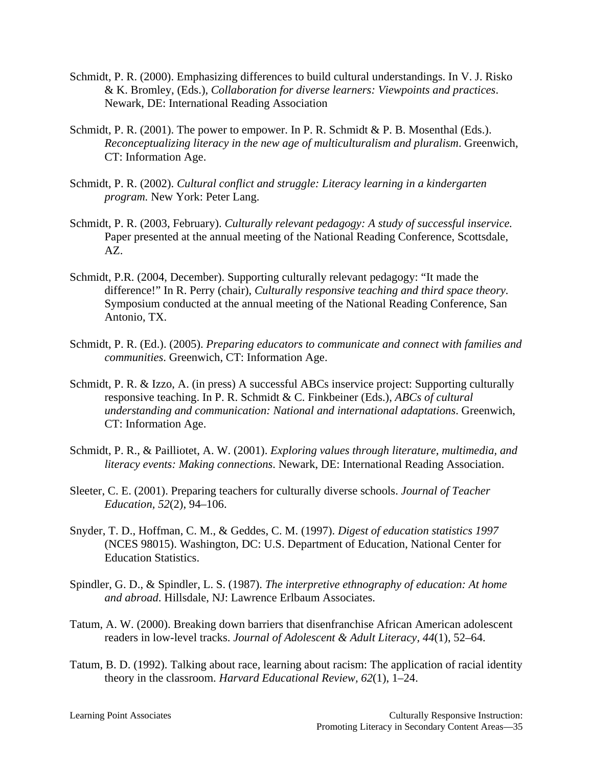- Schmidt, P. R. (2000). Emphasizing differences to build cultural understandings. In V. J. Risko & K. Bromley, (Eds.), *Collaboration for diverse learners: Viewpoints and practices*. Newark, DE: International Reading Association
- Schmidt, P. R. (2001). The power to empower. In P. R. Schmidt & P. B. Mosenthal (Eds.). *Reconceptualizing literacy in the new age of multiculturalism and pluralism*. Greenwich, CT: Information Age.
- Schmidt, P. R. (2002). *Cultural conflict and struggle: Literacy learning in a kindergarten program.* New York: Peter Lang.
- Schmidt, P. R. (2003, February). *Culturally relevant pedagogy: A study of successful inservice.* Paper presented at the annual meeting of the National Reading Conference, Scottsdale, AZ.
- Schmidt, P.R. (2004, December). Supporting culturally relevant pedagogy: "It made the difference!" In R. Perry (chair), *Culturally responsive teaching and third space theory.* Symposium conducted at the annual meeting of the National Reading Conference, San Antonio, TX.
- Schmidt, P. R. (Ed.). (2005). *Preparing educators to communicate and connect with families and communities*. Greenwich, CT: Information Age.
- Schmidt, P. R. & Izzo, A. (in press) A successful ABCs inservice project: Supporting culturally responsive teaching. In P. R. Schmidt & C. Finkbeiner (Eds.), *ABCs of cultural understanding and communication: National and international adaptations*. Greenwich, CT: Information Age.
- Schmidt, P. R., & Pailliotet, A. W. (2001). *Exploring values through literature, multimedia, and literacy events: Making connections*. Newark, DE: International Reading Association.
- Sleeter, C. E. (2001). Preparing teachers for culturally diverse schools. *Journal of Teacher Education, 52*(2), 94–106.
- Snyder, T. D., Hoffman, C. M., & Geddes, C. M. (1997). *Digest of education statistics 1997* (NCES 98015). Washington, DC: U.S. Department of Education, National Center for Education Statistics.
- Spindler, G. D., & Spindler, L. S. (1987). *The interpretive ethnography of education: At home and abroad*. Hillsdale, NJ: Lawrence Erlbaum Associates.
- Tatum, A. W. (2000). Breaking down barriers that disenfranchise African American adolescent readers in low-level tracks. *Journal of Adolescent & Adult Literacy, 44*(1), 52–64.
- Tatum, B. D. (1992). Talking about race, learning about racism: The application of racial identity theory in the classroom. *Harvard Educational Review, 62*(1), 1–24.